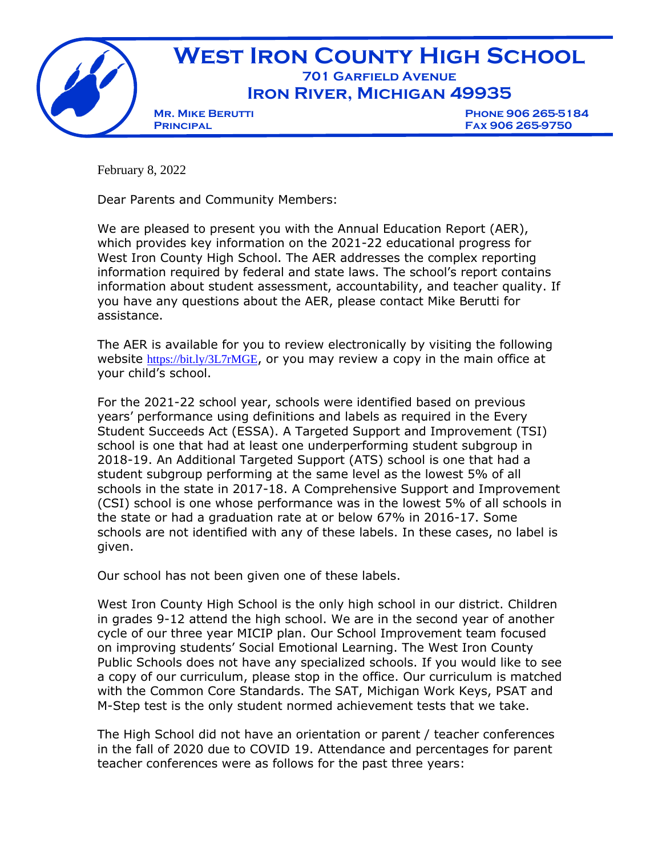

February 8, 2022

Dear Parents and Community Members:

We are pleased to present you with the Annual Education Report (AER), which provides key information on the 2021-22 educational progress for West Iron County High School. The AER addresses the complex reporting information required by federal and state laws. The school's report contains information about student assessment, accountability, and teacher quality. If you have any questions about the AER, please contact Mike Berutti for assistance.

The AER is available for you to review electronically by visiting the following website <https://bit.ly/3L7rMGE>, or you may review a copy in the main office at your child's school.

For the 2021-22 school year, schools were identified based on previous years' performance using definitions and labels as required in the Every Student Succeeds Act (ESSA). A Targeted Support and Improvement (TSI) school is one that had at least one underperforming student subgroup in 2018-19. An Additional Targeted Support (ATS) school is one that had a student subgroup performing at the same level as the lowest 5% of all schools in the state in 2017-18. A Comprehensive Support and Improvement (CSI) school is one whose performance was in the lowest 5% of all schools in the state or had a graduation rate at or below 67% in 2016-17. Some schools are not identified with any of these labels. In these cases, no label is given.

Our school has not been given one of these labels.

West Iron County High School is the only high school in our district. Children in grades 9-12 attend the high school. We are in the second year of another cycle of our three year MICIP plan. Our School Improvement team focused on improving students' Social Emotional Learning. The West Iron County Public Schools does not have any specialized schools. If you would like to see a copy of our curriculum, please stop in the office. Our curriculum is matched with the Common Core Standards. The SAT, Michigan Work Keys, PSAT and M-Step test is the only student normed achievement tests that we take.

The High School did not have an orientation or parent / teacher conferences in the fall of 2020 due to COVID 19. Attendance and percentages for parent teacher conferences were as follows for the past three years: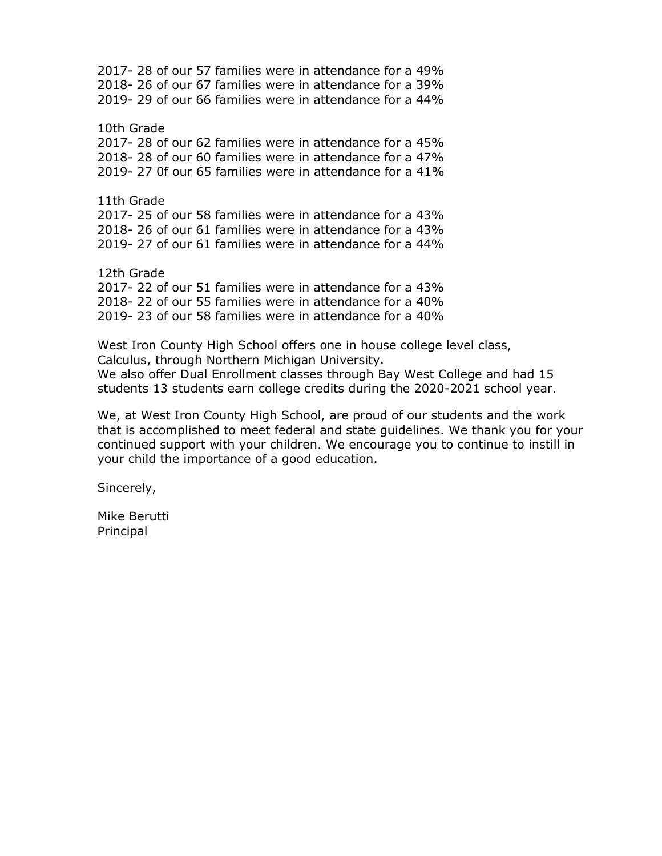2017- 28 of our 57 families were in attendance for a 49% 2018- 26 of our 67 families were in attendance for a 39% 2019- 29 of our 66 families were in attendance for a 44%

10th Grade 2017- 28 of our 62 families were in attendance for a 45% 2018- 28 of our 60 families were in attendance for a 47% 2019- 27 0f our 65 families were in attendance for a 41%

11th Grade 2017- 25 of our 58 families were in attendance for a 43% 2018- 26 of our 61 families were in attendance for a 43% 2019- 27 of our 61 families were in attendance for a 44%

12th Grade 2017- 22 of our 51 families were in attendance for a 43% 2018- 22 of our 55 families were in attendance for a 40% 2019- 23 of our 58 families were in attendance for a 40%

West Iron County High School offers one in house college level class, Calculus, through Northern Michigan University. We also offer Dual Enrollment classes through Bay West College and had 15 students 13 students earn college credits during the 2020-2021 school year.

We, at West Iron County High School, are proud of our students and the work that is accomplished to meet federal and state guidelines. We thank you for your continued support with your children. We encourage you to continue to instill in your child the importance of a good education.

Sincerely,

Mike Berutti Principal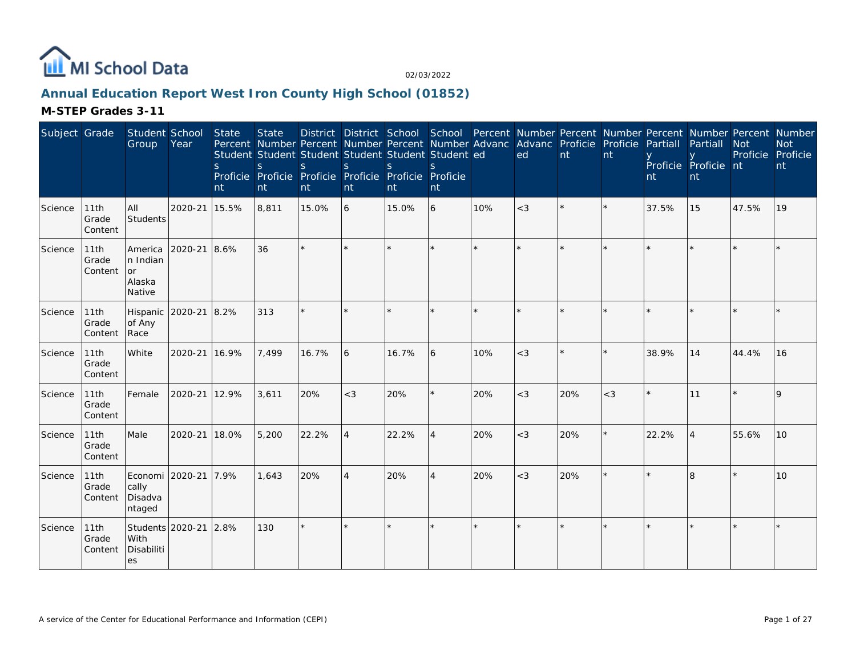

## **Annual Education Report West Iron County High School (01852)**

### **M-STEP Grades 3-11**

| Subject Grade |                          | Student School<br>Group                        | Year    | State<br><sub>S</sub><br>nt | <b>State</b><br>S<br>nt | Percent Number Percent Number Percent Number Advanc Advanc Proficie Proficie<br>Student Student Student Student Student Student ed<br><sub>S</sub><br>Proficie Proficie Proficie Proficie Proficie Proficie<br>nt | <sub>S</sub><br>nt | <sub>S</sub><br>nt | $\mathcal{S}$<br>nt |         | District District School School Percent Number Percent Number Percent Number Percent Number<br>ed | nt      | nt    | Partiall<br>nti | Partiall<br>Proficie Proficie nt<br>nt | <b>Not</b><br>Proficie Proficie | <b>Not</b><br>nt |
|---------------|--------------------------|------------------------------------------------|---------|-----------------------------|-------------------------|-------------------------------------------------------------------------------------------------------------------------------------------------------------------------------------------------------------------|--------------------|--------------------|---------------------|---------|---------------------------------------------------------------------------------------------------|---------|-------|-----------------|----------------------------------------|---------------------------------|------------------|
| Science       | 11th<br>Grade<br>Content | All<br>Students                                | 2020-21 | 15.5%                       | 8,811                   | 15.0%                                                                                                                                                                                                             | l 6                | 15.0%              | 6                   | 10%     | $<$ 3                                                                                             |         |       | 37.5%           | 15                                     | 47.5%                           | 19               |
| Science       | 11th<br>Grade<br>Content | America<br>In Indian<br>or<br>Alaska<br>Native | 2020-21 | 8.6%                        | 36                      | $\star$                                                                                                                                                                                                           | $\star$            |                    | $\star$             | $\star$ | $\star$                                                                                           | $\star$ |       |                 |                                        |                                 |                  |
| Science       | 11th<br>Grade<br>Content | Hispanic<br>of Any<br>Race                     | 2020-21 | 8.2%                        | 313                     |                                                                                                                                                                                                                   |                    |                    |                     |         |                                                                                                   |         |       |                 |                                        |                                 |                  |
| Science       | 11th<br>Grade<br>Content | White                                          | 2020-21 | 16.9%                       | 7,499                   | 16.7%                                                                                                                                                                                                             | 6                  | 16.7%              | 6                   | 10%     | $<$ 3                                                                                             | $\star$ |       | 38.9%           | 14                                     | 44.4%                           | 16               |
| Science       | 11th<br>Grade<br>Content | Female                                         | 2020-21 | 12.9%                       | 3,611                   | 20%                                                                                                                                                                                                               | $<$ 3              | 20%                | $\star$             | 20%     | $<$ 3                                                                                             | 20%     | $<$ 3 |                 | 11                                     |                                 |                  |
| Science       | 11th<br>Grade<br>Content | Male                                           | 2020-21 | 18.0%                       | 5,200                   | 22.2%                                                                                                                                                                                                             | $\overline{4}$     | 22.2%              | 4                   | 20%     | $<$ 3                                                                                             | 20%     |       | 22.2%           | $\overline{4}$                         | 55.6%                           | 10               |
| Science       | 11th<br>Grade<br>Content | Economi 2020-21<br>cally<br>Disadva<br>ntaged  |         | 7.9%                        | 1,643                   | 20%                                                                                                                                                                                                               | $\overline{4}$     | 20%                | 4                   | 20%     | $<$ 3                                                                                             | 20%     |       |                 | 8                                      |                                 | 10               |
| Science       | 11th<br>Grade<br>Content | Students 2020-21<br>With<br>Disabiliti<br>es   |         | 2.8%                        | 130                     |                                                                                                                                                                                                                   |                    |                    | $\star$             |         |                                                                                                   |         |       |                 |                                        |                                 |                  |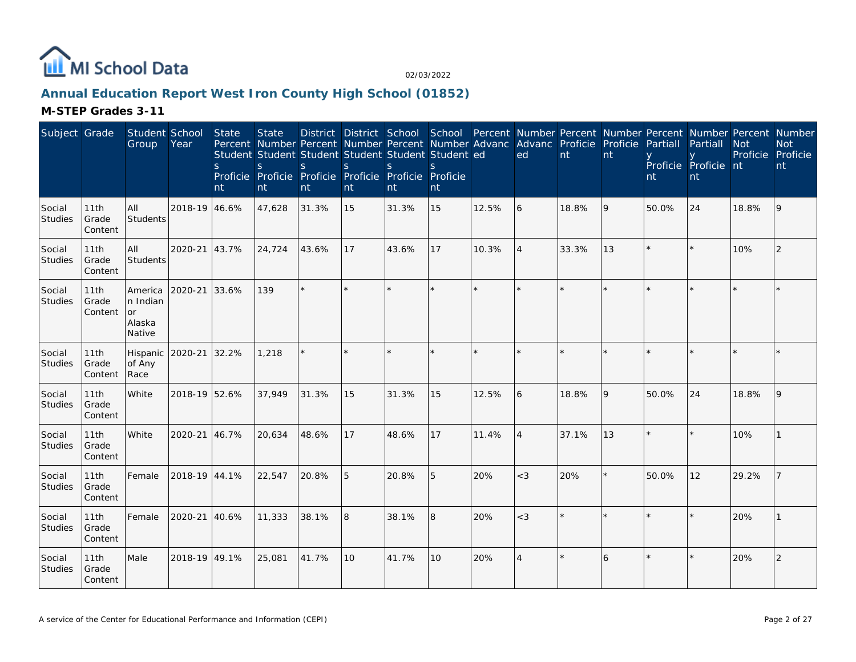

## **Annual Education Report West Iron County High School (01852)**

**M-STEP Grades 3-11**

| Subject Grade            |                          | Student School<br>Group                       | Year          | State<br><sub>S</sub><br>nt | <b>State</b><br>S<br>nt | Percent Number Percent Number Percent Number Advanc Advanc Proficie<br>Student Student Student Student Student Student ed<br>S.<br>Proficie Proficie Proficie Proficie Proficie Proficie<br>nt | <sub>S</sub><br>nt | <sub>S</sub><br>nt | S.<br>nt |       | District District School School Percent Number Percent Number Percent Number Percent Number<br>ed | nt    | Proficie<br>nt | Partiall<br>nt | Partiall<br>Proficie Proficie nt<br>nt | <b>Not</b><br>Proficie Proficie | <b>Not</b><br>nt |
|--------------------------|--------------------------|-----------------------------------------------|---------------|-----------------------------|-------------------------|------------------------------------------------------------------------------------------------------------------------------------------------------------------------------------------------|--------------------|--------------------|----------|-------|---------------------------------------------------------------------------------------------------|-------|----------------|----------------|----------------------------------------|---------------------------------|------------------|
| Social<br>Studies        | 11th<br>Grade<br>Content | All<br>Students                               | 2018-19 46.6% |                             | 47,628                  | 31.3%                                                                                                                                                                                          | 15                 | 31.3%              | 15       | 12.5% | 6                                                                                                 | 18.8% | 9              | 50.0%          | 24                                     | 18.8%                           | 9                |
| Social<br><b>Studies</b> | 11th<br>Grade<br>Content | All<br>Students                               | 2020-21       | 43.7%                       | 24,724                  | 43.6%                                                                                                                                                                                          | 17                 | 43.6%              | 17       | 10.3% | $\overline{4}$                                                                                    | 33.3% | 13             |                |                                        | 10%                             | 2                |
| Social<br>Studies        | 11th<br>Grade<br>Content | America<br>n Indian<br>or<br>Alaska<br>Native | 2020-21       | 33.6%                       | 139                     | $\star$                                                                                                                                                                                        | $\star$            |                    | $\star$  |       | $\star$                                                                                           |       |                |                |                                        |                                 |                  |
| Social<br>Studies        | 11th<br>Grade<br>Content | Hispanic<br>of Any<br>Race                    | 2020-21       | 32.2%                       | 1,218                   |                                                                                                                                                                                                | ×.                 |                    | $\star$  |       | $\star$                                                                                           |       |                |                |                                        |                                 |                  |
| Social<br>Studies        | 11th<br>Grade<br>Content | White                                         | 2018-19 52.6% |                             | 37,949                  | 31.3%                                                                                                                                                                                          | 15                 | 31.3%              | 15       | 12.5% | 6                                                                                                 | 18.8% | 9              | 50.0%          | 24                                     | 18.8%                           | 9                |
| Social<br><b>Studies</b> | 11th<br>Grade<br>Content | White                                         | 2020-21       | 46.7%                       | 20,634                  | 48.6%                                                                                                                                                                                          | 17                 | 48.6%              | 17       | 11.4% | $\overline{4}$                                                                                    | 37.1% | 13             |                |                                        | 10%                             |                  |
| Social<br>Studies        | 11th<br>Grade<br>Content | Female                                        | 2018-19 44.1% |                             | 22,547                  | 20.8%                                                                                                                                                                                          | 5                  | 20.8%              | 5        | 20%   | $<$ 3                                                                                             | 20%   |                | 50.0%          | 12                                     | 29.2%                           |                  |
| Social<br>Studies        | 11th<br>Grade<br>Content | Female                                        | 2020-21       | 40.6%                       | 11,333                  | 38.1%                                                                                                                                                                                          | 8                  | 38.1%              | 8        | 20%   | $<$ 3                                                                                             |       |                |                |                                        | 20%                             |                  |
| Social<br><b>Studies</b> | 11th<br>Grade<br>Content | Male                                          | 2018-19 49.1% |                             | 25,081                  | 41.7%                                                                                                                                                                                          | 10                 | 41.7%              | 10       | 20%   | $\overline{4}$                                                                                    |       | 6              |                |                                        | 20%                             | 2                |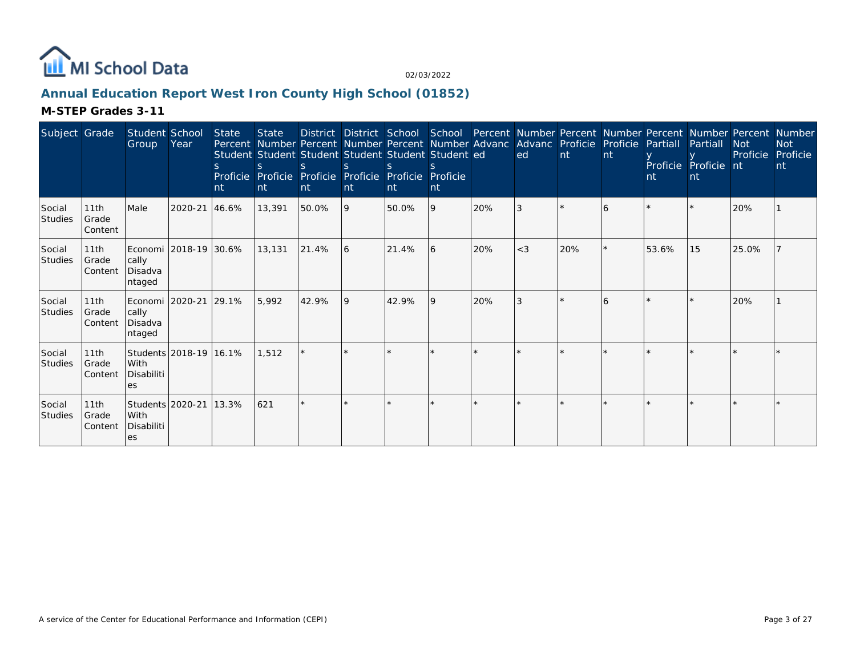

## **Annual Education Report West Iron County High School (01852)**

#### **M-STEP Grades 3-11**

| Subject Grade            |                           | Student School<br>Group                                 | Year                   | <b>State</b><br>nt | <b>State</b><br>S.<br>Int | Student Student Student Student Student Student ed<br>$\mathcal{S}$<br>Proficie Proficie Proficie Proficie Proficie Proficie<br>nt | S.<br>nt | Int   | nt           |     | District District School School Percent Number Percent Number Percent Number Percent Number<br>Percent Number Percent Number Percent Number Advanc Advanc Proficie Proficie Partiall<br>ed. | Int | nt | nt    | Partiall<br>Proficie Proficie nt<br>nt | <b>Not</b><br>Proficie | <b>Not</b><br>Proficie<br>nt |
|--------------------------|---------------------------|---------------------------------------------------------|------------------------|--------------------|---------------------------|------------------------------------------------------------------------------------------------------------------------------------|----------|-------|--------------|-----|---------------------------------------------------------------------------------------------------------------------------------------------------------------------------------------------|-----|----|-------|----------------------------------------|------------------------|------------------------------|
| Social<br><b>Studies</b> | 11th<br>Grade<br> Content | Male                                                    | 2020-21                | 46.6%              | 13,391                    | 50.0%                                                                                                                              | 9        | 50.0% | 9            | 20% |                                                                                                                                                                                             |     | 6  |       |                                        | 20%                    |                              |
| Social<br><b>Studies</b> | 11th<br>Grade<br>Content  | Economi   2018-19   30.6%<br>cally<br>Disadva<br>ntaged |                        |                    | 13,131                    | 21.4%                                                                                                                              | 16       | 21.4% | <sup>6</sup> | 20% | $<$ 3                                                                                                                                                                                       | 20% |    | 53.6% | 15                                     | 25.0%                  |                              |
| Social<br><b>Studies</b> | 11th<br>Grade<br>Content  | Economi   2020-21   29.1%<br>cally<br>Disadva<br>ntaged |                        |                    | 5.992                     | 42.9%                                                                                                                              | <b>9</b> | 42.9% | <b>9</b>     | 20% |                                                                                                                                                                                             |     | 6  |       |                                        | 20%                    |                              |
| Social<br><b>Studies</b> | 11th<br>Grade<br>Content  | l With<br>Disabiliti<br>es                              | Students 2018-19 16.1% |                    | 1.512                     |                                                                                                                                    |          |       |              |     |                                                                                                                                                                                             |     |    |       |                                        |                        |                              |
| Social<br><b>Studies</b> | 11th<br>Grade<br>Content  | Students   2020-21<br>With<br>Disabiliti<br>es          |                        | 13.3%              | 621                       |                                                                                                                                    |          |       |              |     |                                                                                                                                                                                             |     |    |       |                                        |                        |                              |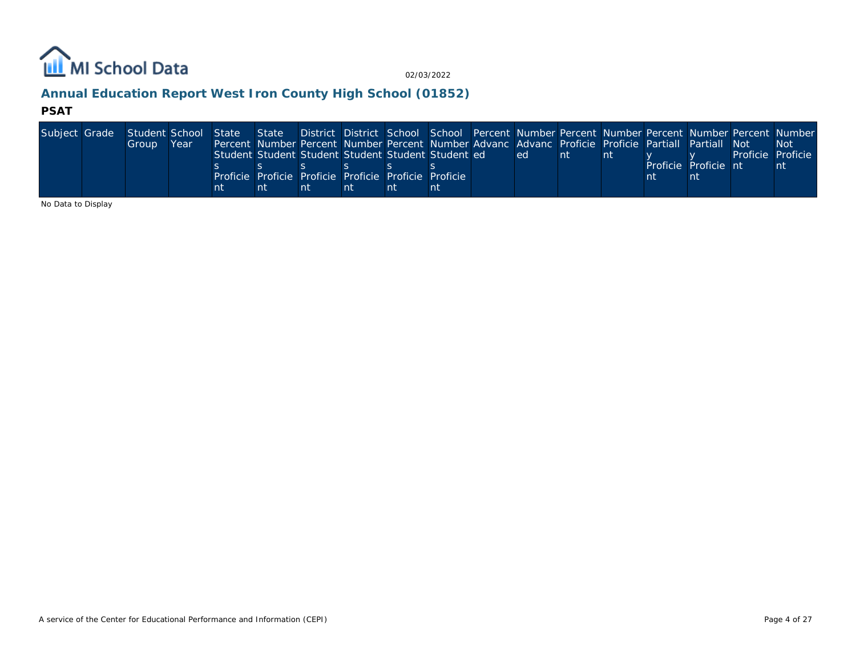

## **Annual Education Report West Iron County High School (01852)**

#### **PSAT**

| Subject Grade Student School State State District District School School Percent Number Percent Number Percent Number Percent Number Number |       |      |    |                                                                                                    |    |    |    |     |     |    |                      |                   |
|---------------------------------------------------------------------------------------------------------------------------------------------|-------|------|----|----------------------------------------------------------------------------------------------------|----|----|----|-----|-----|----|----------------------|-------------------|
|                                                                                                                                             | Group | Year |    | Percent Number Percent Number Percent Number Advanc Advanc Proficie Proficie Partiall Partiall Not |    |    |    |     |     |    |                      | -Not              |
|                                                                                                                                             |       |      |    | Student Student Student Student Student Student ed                                                 |    |    |    | ed. | ∣nt | nt |                      | Proficie Proficie |
|                                                                                                                                             |       |      |    |                                                                                                    |    |    |    |     |     |    | Proficie Proficie nt | nt                |
|                                                                                                                                             |       |      |    | Proficie Proficie Proficie Proficie Proficie Proficie I                                            |    |    |    |     |     |    |                      |                   |
|                                                                                                                                             |       |      | nt | nt                                                                                                 | nt | nt | nt |     |     |    |                      |                   |

No Data to Display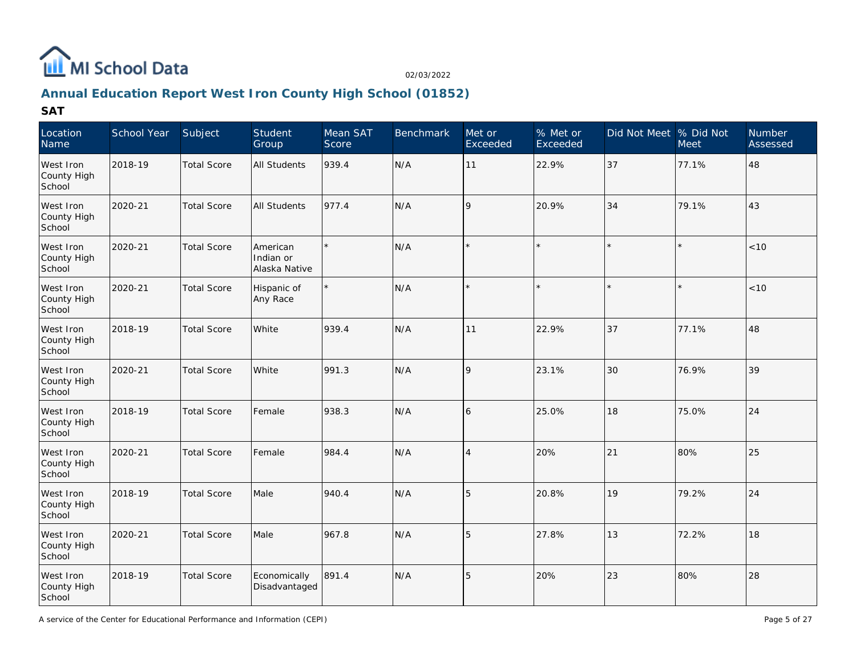

## **Annual Education Report West Iron County High School (01852)**

| Location<br>Name                   | School Year | Subject            | Student<br>Group                       | Mean SAT<br>Score | <b>Benchmark</b> | Met or<br>Exceeded | % Met or<br>Exceeded | Did Not Meet % Did Not | Meet  | Number<br>Assessed |
|------------------------------------|-------------|--------------------|----------------------------------------|-------------------|------------------|--------------------|----------------------|------------------------|-------|--------------------|
| West Iron<br>County High<br>School | 2018-19     | <b>Total Score</b> | <b>All Students</b>                    | 939.4             | N/A              | 11                 | 22.9%                | 37                     | 77.1% | 48                 |
| West Iron<br>County High<br>School | 2020-21     | <b>Total Score</b> | <b>All Students</b>                    | 977.4             | N/A              | 9                  | 20.9%                | 34                     | 79.1% | 43                 |
| West Iron<br>County High<br>School | 2020-21     | <b>Total Score</b> | American<br>Indian or<br>Alaska Native | $\star$           | N/A              |                    |                      |                        |       | < 10               |
| West Iron<br>County High<br>School | 2020-21     | <b>Total Score</b> | Hispanic of<br>Any Race                | $\star$           | N/A              |                    |                      |                        |       | < 10               |
| West Iron<br>County High<br>School | 2018-19     | <b>Total Score</b> | White                                  | 939.4             | N/A              | 11                 | 22.9%                | 37                     | 77.1% | 48                 |
| West Iron<br>County High<br>School | 2020-21     | <b>Total Score</b> | White                                  | 991.3             | N/A              | 9                  | 23.1%                | 30                     | 76.9% | 39                 |
| West Iron<br>County High<br>School | 2018-19     | <b>Total Score</b> | Female                                 | 938.3             | N/A              | 6                  | 25.0%                | 18                     | 75.0% | 24                 |
| West Iron<br>County High<br>School | 2020-21     | <b>Total Score</b> | Female                                 | 984.4             | N/A              | $\overline{4}$     | 20%                  | 21                     | 80%   | 25                 |
| West Iron<br>County High<br>School | 2018-19     | <b>Total Score</b> | Male                                   | 940.4             | N/A              | 5                  | 20.8%                | 19                     | 79.2% | 24                 |
| West Iron<br>County High<br>School | 2020-21     | <b>Total Score</b> | Male                                   | 967.8             | N/A              | 5                  | 27.8%                | 13                     | 72.2% | 18                 |
| West Iron<br>County High<br>School | 2018-19     | <b>Total Score</b> | Economically<br>Disadvantaged          | 891.4             | N/A              | 5                  | 20%                  | 23                     | 80%   | 28                 |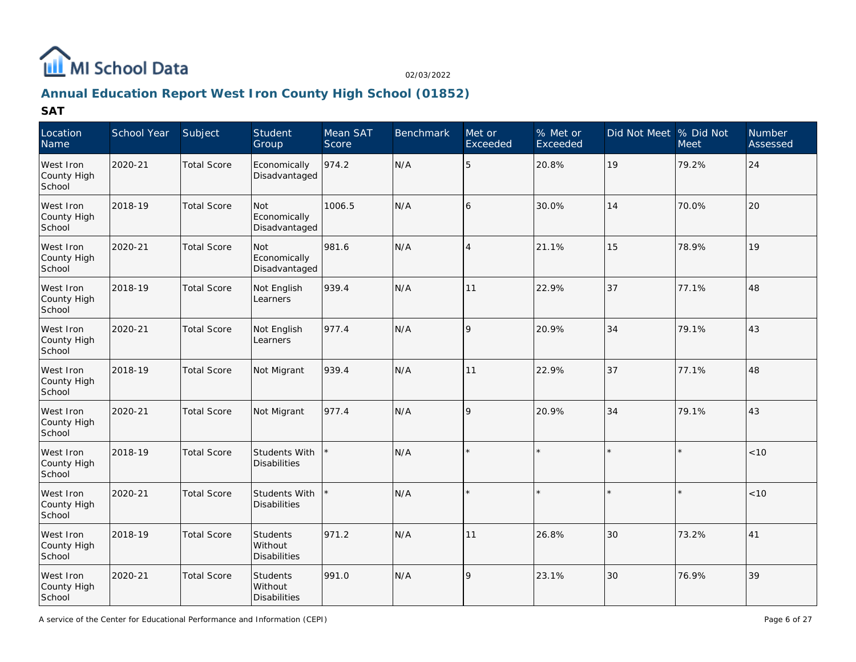

# **Annual Education Report West Iron County High School (01852)**

| Location<br>Name                   | School Year | Subject            | Student<br>Group                           | Mean SAT<br>Score | <b>Benchmark</b> | Met or<br>Exceeded | % Met or<br>Exceeded | Did Not Meet % Did Not | <b>Meet</b> | <b>Number</b><br>Assessed |
|------------------------------------|-------------|--------------------|--------------------------------------------|-------------------|------------------|--------------------|----------------------|------------------------|-------------|---------------------------|
| West Iron<br>County High<br>School | 2020-21     | <b>Total Score</b> | Economically<br>Disadvantaged              | 974.2             | N/A              | 5                  | 20.8%                | 19                     | 79.2%       | 24                        |
| West Iron<br>County High<br>School | 2018-19     | <b>Total Score</b> | Not<br>Economically<br>Disadvantaged       | 1006.5            | N/A              | 6                  | 30.0%                | 14                     | 70.0%       | 20                        |
| West Iron<br>County High<br>School | 2020-21     | <b>Total Score</b> | Not<br>Economically<br>Disadvantaged       | 981.6             | N/A              | $\overline{4}$     | 21.1%                | 15                     | 78.9%       | 19                        |
| West Iron<br>County High<br>School | 2018-19     | <b>Total Score</b> | Not English<br>Learners                    | 939.4             | N/A              | 11                 | 22.9%                | 37                     | 77.1%       | 48                        |
| West Iron<br>County High<br>School | 2020-21     | <b>Total Score</b> | Not English<br>Learners                    | 977.4             | N/A              | 9                  | 20.9%                | 34                     | 79.1%       | 43                        |
| West Iron<br>County High<br>School | 2018-19     | <b>Total Score</b> | Not Migrant                                | 939.4             | N/A              | 11                 | 22.9%                | 37                     | 77.1%       | 48                        |
| West Iron<br>County High<br>School | 2020-21     | <b>Total Score</b> | Not Migrant                                | 977.4             | N/A              | $\mathsf{Q}$       | 20.9%                | 34                     | 79.1%       | 43                        |
| West Iron<br>County High<br>School | 2018-19     | <b>Total Score</b> | Students With<br><b>Disabilities</b>       |                   | N/A              |                    |                      |                        |             | $<10$                     |
| West Iron<br>County High<br>School | 2020-21     | <b>Total Score</b> | Students With<br>Disabilities              |                   | N/A              | $\star$            | $\star$              | $\star$                | $\star$     | $<10$                     |
| West Iron<br>County High<br>School | 2018-19     | <b>Total Score</b> | <b>Students</b><br>Without<br>Disabilities | 971.2             | N/A              | 11                 | 26.8%                | 30                     | 73.2%       | 41                        |
| West Iron<br>County High<br>School | 2020-21     | <b>Total Score</b> | <b>Students</b><br>Without<br>Disabilities | 991.0             | N/A              | $\mathsf{Q}$       | 23.1%                | 30                     | 76.9%       | 39                        |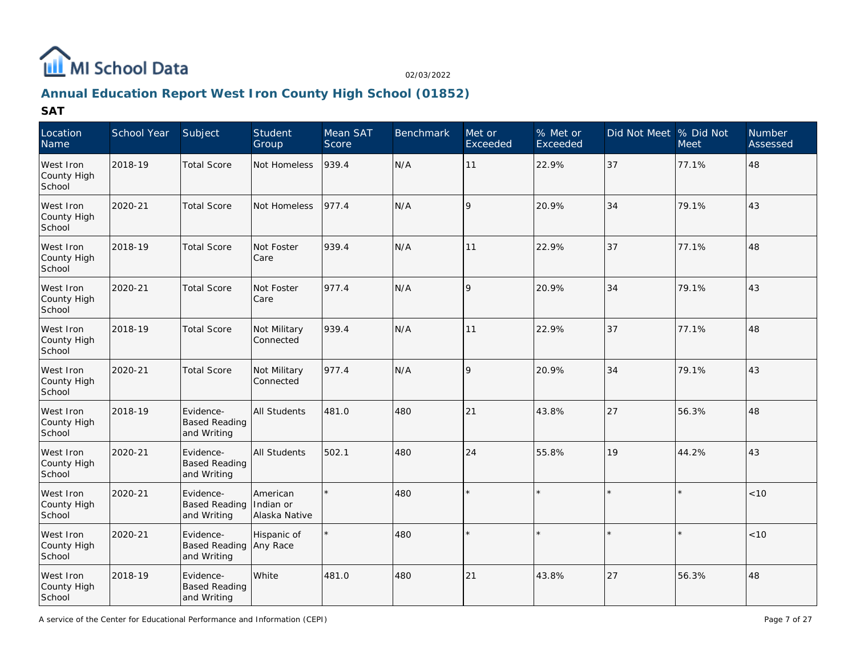

## **Annual Education Report West Iron County High School (01852)**

| Location<br>Name                   | School Year | Subject                                          | Student<br>Group                       | Mean SAT<br>Score | <b>Benchmark</b> | Met or<br>Exceeded | % Met or<br>Exceeded | Did Not Meet % Did Not | <b>Meet</b> | <b>Number</b><br>Assessed |
|------------------------------------|-------------|--------------------------------------------------|----------------------------------------|-------------------|------------------|--------------------|----------------------|------------------------|-------------|---------------------------|
| West Iron<br>County High<br>School | 2018-19     | <b>Total Score</b>                               | Not Homeless                           | 939.4             | N/A              | 11                 | 22.9%                | 37                     | 77.1%       | 48                        |
| West Iron<br>County High<br>School | 2020-21     | <b>Total Score</b>                               | Not Homeless                           | 977.4             | N/A              | $\mathsf{Q}$       | 20.9%                | 34                     | 79.1%       | 43                        |
| West Iron<br>County High<br>School | 2018-19     | <b>Total Score</b>                               | Not Foster<br>Care                     | 939.4             | N/A              | 11                 | 22.9%                | 37                     | 77.1%       | 48                        |
| West Iron<br>County High<br>School | 2020-21     | <b>Total Score</b>                               | Not Foster<br>Care                     | 977.4             | N/A              | 9                  | 20.9%                | 34                     | 79.1%       | 43                        |
| West Iron<br>County High<br>School | 2018-19     | <b>Total Score</b>                               | Not Military<br>Connected              | 939.4             | N/A              | 11                 | 22.9%                | 37                     | 77.1%       | 48                        |
| West Iron<br>County High<br>School | 2020-21     | <b>Total Score</b>                               | Not Military<br>Connected              | 977.4             | N/A              | $\mathsf{Q}$       | 20.9%                | 34                     | 79.1%       | 43                        |
| West Iron<br>County High<br>School | 2018-19     | Evidence-<br><b>Based Reading</b><br>and Writing | <b>All Students</b>                    | 481.0             | 480              | 21                 | 43.8%                | 27                     | 56.3%       | 48                        |
| West Iron<br>County High<br>School | 2020-21     | Evidence-<br><b>Based Reading</b><br>and Writing | <b>All Students</b>                    | 502.1             | 480              | 24                 | 55.8%                | 19                     | 44.2%       | 43                        |
| West Iron<br>County High<br>School | 2020-21     | Evidence-<br><b>Based Reading</b><br>and Writing | American<br>Indian or<br>Alaska Native | $\star$           | 480              | $\star$            |                      |                        | $\star$     | < 10                      |
| West Iron<br>County High<br>School | 2020-21     | Evidence-<br><b>Based Reading</b><br>and Writing | Hispanic of<br>Any Race                |                   | 480              | $\star$            |                      |                        |             | < 10                      |
| West Iron<br>County High<br>School | 2018-19     | Evidence-<br><b>Based Reading</b><br>and Writing | <b>White</b>                           | 481.0             | 480              | 21                 | 43.8%                | 27                     | 56.3%       | 48                        |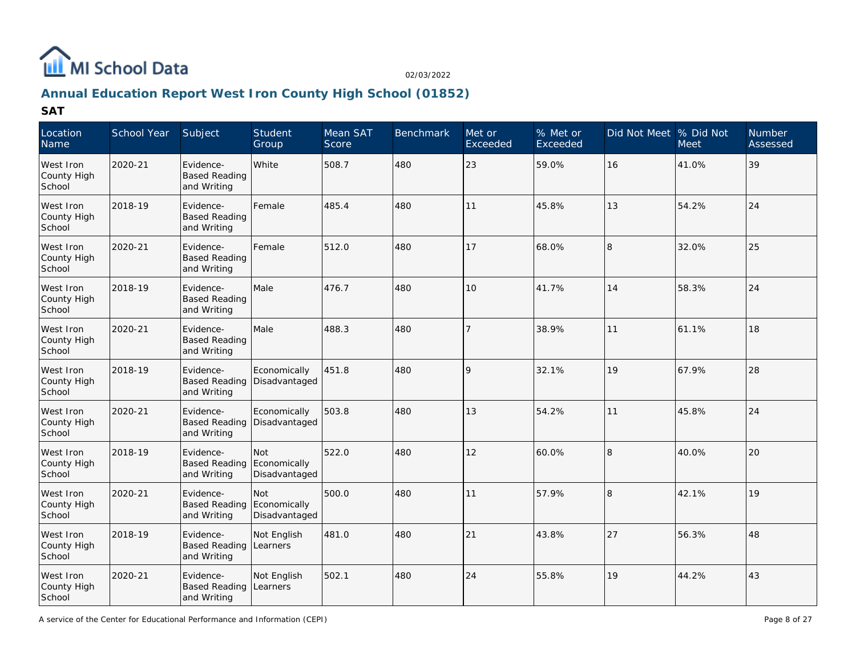

## **Annual Education Report West Iron County High School (01852)**

| Location<br>Name                   | School Year | Subject                                          | Student<br>Group                     | Mean SAT<br>Score | <b>Benchmark</b> | Met or<br>Exceeded | % Met or<br>Exceeded | Did Not Meet % Did Not | <b>Meet</b> | Number<br>Assessed |
|------------------------------------|-------------|--------------------------------------------------|--------------------------------------|-------------------|------------------|--------------------|----------------------|------------------------|-------------|--------------------|
| West Iron<br>County High<br>School | 2020-21     | Evidence-<br><b>Based Reading</b><br>and Writing | White                                | 508.7             | 480              | 23                 | 59.0%                | 16                     | 41.0%       | 39                 |
| West Iron<br>County High<br>School | 2018-19     | Evidence-<br><b>Based Reading</b><br>and Writing | Female                               | 485.4             | 480              | 11                 | 45.8%                | 13                     | 54.2%       | 24                 |
| West Iron<br>County High<br>School | 2020-21     | Evidence-<br><b>Based Reading</b><br>and Writing | Female                               | 512.0             | 480              | 17                 | 68.0%                | 18                     | 32.0%       | 25                 |
| West Iron<br>County High<br>School | 2018-19     | Evidence-<br><b>Based Reading</b><br>and Writing | Male                                 | 476.7             | 480              | 10                 | 41.7%                | 14                     | 58.3%       | 24                 |
| West Iron<br>County High<br>School | 2020-21     | Evidence-<br><b>Based Reading</b><br>and Writing | Male                                 | 488.3             | 480              | 7                  | 38.9%                | 11                     | 61.1%       | 18                 |
| West Iron<br>County High<br>School | 2018-19     | Evidence-<br><b>Based Reading</b><br>and Writing | Economically<br>Disadvantaged        | 451.8             | 480              | 9                  | 32.1%                | 19                     | 67.9%       | 28                 |
| West Iron<br>County High<br>School | 2020-21     | Evidence-<br><b>Based Reading</b><br>and Writing | Economically<br>Disadvantaged        | 503.8             | 480              | 13                 | 54.2%                | 11                     | 45.8%       | 24                 |
| West Iron<br>County High<br>School | 2018-19     | Evidence-<br><b>Based Reading</b><br>and Writing | Not<br>Economically<br>Disadvantaged | 522.0             | 480              | 12                 | 60.0%                | 18                     | 40.0%       | 20                 |
| West Iron<br>County High<br>School | 2020-21     | Evidence-<br><b>Based Reading</b><br>and Writing | Not<br>Economically<br>Disadvantaged | 500.0             | 480              | 11                 | 57.9%                | l8                     | 42.1%       | 19                 |
| West Iron<br>County High<br>School | 2018-19     | Evidence-<br><b>Based Reading</b><br>and Writing | Not English<br>Learners              | 481.0             | 480              | 21                 | 43.8%                | 27                     | 56.3%       | 48                 |
| West Iron<br>County High<br>School | 2020-21     | Evidence-<br><b>Based Reading</b><br>and Writing | Not English<br>Learners              | 502.1             | 480              | 24                 | 55.8%                | 19                     | 44.2%       | 43                 |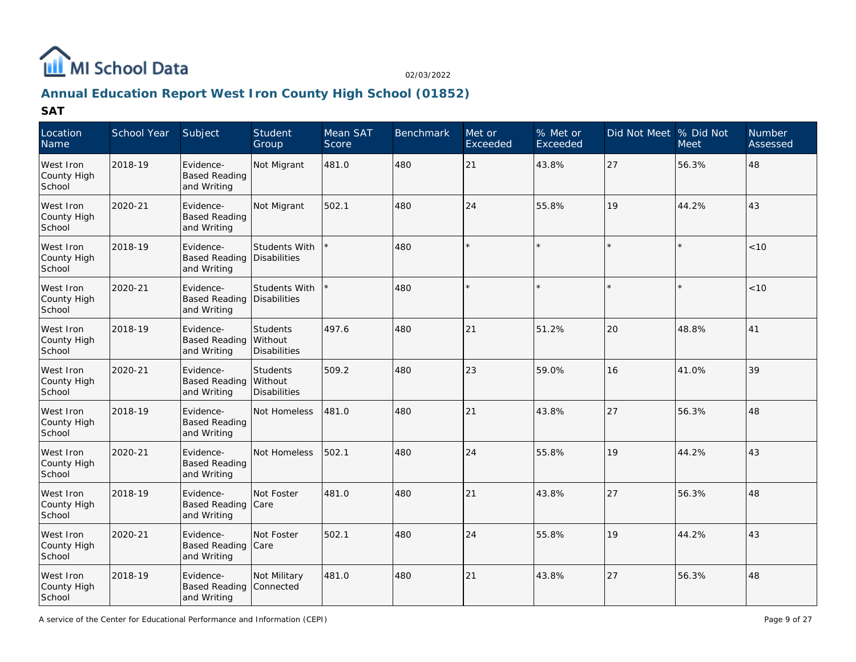

# **Annual Education Report West Iron County High School (01852)**

| Location<br>Name                   | School Year | Subject                                          | Student<br>Group                           | Mean SAT<br>Score | Benchmark | Met or<br>Exceeded | % Met or<br>Exceeded | Did Not Meet  % Did Not | <b>Meet</b> | <b>Number</b><br>Assessed |
|------------------------------------|-------------|--------------------------------------------------|--------------------------------------------|-------------------|-----------|--------------------|----------------------|-------------------------|-------------|---------------------------|
| West Iron<br>County High<br>School | 2018-19     | Evidence-<br><b>Based Reading</b><br>and Writing | Not Migrant                                | 481.0             | 480       | 21                 | 43.8%                | 27                      | 56.3%       | 48                        |
| West Iron<br>County High<br>School | 2020-21     | Evidence-<br><b>Based Reading</b><br>and Writing | Not Migrant                                | 502.1             | 480       | 24                 | 55.8%                | 19                      | 44.2%       | 43                        |
| West Iron<br>County High<br>School | 2018-19     | Evidence-<br><b>Based Reading</b><br>and Writing | Students With<br>Disabilities              |                   | 480       |                    | $\star$              |                         | $\star$     | < 10                      |
| West Iron<br>County High<br>School | 2020-21     | Evidence-<br><b>Based Reading</b><br>and Writing | Students With<br>Disabilities              |                   | 480       |                    | $\star$              |                         |             | < 10                      |
| West Iron<br>County High<br>School | 2018-19     | Evidence-<br><b>Based Reading</b><br>and Writing | <b>Students</b><br>Without<br>Disabilities | 497.6             | 480       | 21                 | 51.2%                | 20                      | 48.8%       | 41                        |
| West Iron<br>County High<br>School | 2020-21     | Evidence-<br><b>Based Reading</b><br>and Writing | Students<br>Without<br><b>Disabilities</b> | 509.2             | 480       | 23                 | 59.0%                | 16                      | 41.0%       | 39                        |
| West Iron<br>County High<br>School | 2018-19     | Evidence-<br><b>Based Reading</b><br>and Writing | Not Homeless                               | 481.0             | 480       | 21                 | 43.8%                | 27                      | 56.3%       | 48                        |
| West Iron<br>County High<br>School | 2020-21     | Evidence-<br><b>Based Reading</b><br>and Writing | Not Homeless                               | 502.1             | 480       | 24                 | 55.8%                | 19                      | 44.2%       | 43                        |
| West Iron<br>County High<br>School | 2018-19     | Evidence-<br><b>Based Reading</b><br>and Writing | Not Foster<br><b>Care</b>                  | 481.0             | 480       | 21                 | 43.8%                | 27                      | 56.3%       | 48                        |
| West Iron<br>County High<br>School | 2020-21     | Evidence-<br>Based Reading Care<br>and Writing   | Not Foster                                 | 502.1             | 480       | 24                 | 55.8%                | 19                      | 44.2%       | 43                        |
| West Iron<br>County High<br>School | 2018-19     | Evidence-<br><b>Based Reading</b><br>and Writing | Not Military<br>Connected                  | 481.0             | 480       | 21                 | 43.8%                | 27                      | 56.3%       | 48                        |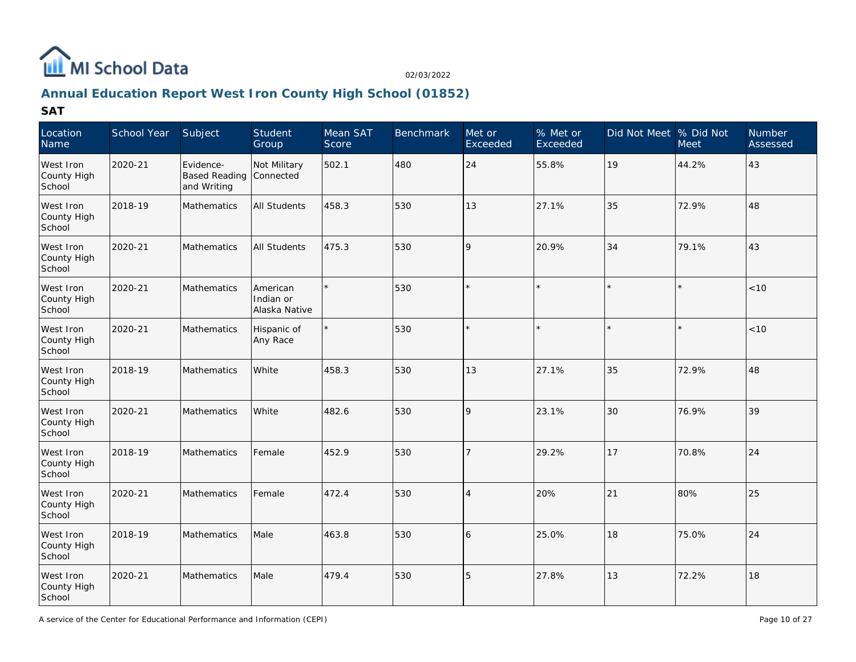

# **Annual Education Report West Iron County High School (01852)**

| Location<br>Name                   | School Year | Subject                                          | Student<br>Group                       | Mean SAT<br>Score | <b>Benchmark</b> | Met or<br>Exceeded | % Met or<br>Exceeded | Did Not Meet % Did Not | <b>Meet</b> | Number<br>Assessed |
|------------------------------------|-------------|--------------------------------------------------|----------------------------------------|-------------------|------------------|--------------------|----------------------|------------------------|-------------|--------------------|
| West Iron<br>County High<br>School | 2020-21     | Evidence-<br><b>Based Reading</b><br>and Writing | Not Military<br>Connected              | 502.1             | 480              | 24                 | 55.8%                | 19                     | 44.2%       | 43                 |
| West Iron<br>County High<br>School | 2018-19     | Mathematics                                      | <b>All Students</b>                    | 458.3             | 530              | 13                 | 27.1%                | 35                     | 72.9%       | 48                 |
| West Iron<br>County High<br>School | 2020-21     | Mathematics                                      | <b>All Students</b>                    | 475.3             | 530              | l 9                | 20.9%                | 34                     | 79.1%       | 43                 |
| West Iron<br>County High<br>School | 2020-21     | Mathematics                                      | American<br>Indian or<br>Alaska Native | $\star$           | 530              |                    |                      | $\star$                |             | < 10               |
| West Iron<br>County High<br>School | 2020-21     | Mathematics                                      | Hispanic of<br>Any Race                |                   | 530              |                    |                      | $\star$                | $\star$     | < 10               |
| West Iron<br>County High<br>School | 2018-19     | Mathematics                                      | White                                  | 458.3             | 530              | 13                 | 27.1%                | 35                     | 72.9%       | 48                 |
| West Iron<br>County High<br>School | 2020-21     | Mathematics                                      | White                                  | 482.6             | 530              | l 9                | 23.1%                | 30                     | 76.9%       | 39                 |
| West Iron<br>County High<br>School | 2018-19     | Mathematics                                      | Female                                 | 452.9             | 530              | $\overline{7}$     | 29.2%                | 17                     | 70.8%       | 24                 |
| West Iron<br>County High<br>School | 2020-21     | Mathematics                                      | Female                                 | 472.4             | 530              | $\overline{4}$     | 20%                  | 21                     | 80%         | 25                 |
| West Iron<br>County High<br>School | 2018-19     | <b>Mathematics</b>                               | Male                                   | 463.8             | 530              | 16                 | 25.0%                | 18                     | 75.0%       | 24                 |
| West Iron<br>County High<br>School | 2020-21     | Mathematics                                      | Male                                   | 479.4             | 530              | 15                 | 27.8%                | 13                     | 72.2%       | 18                 |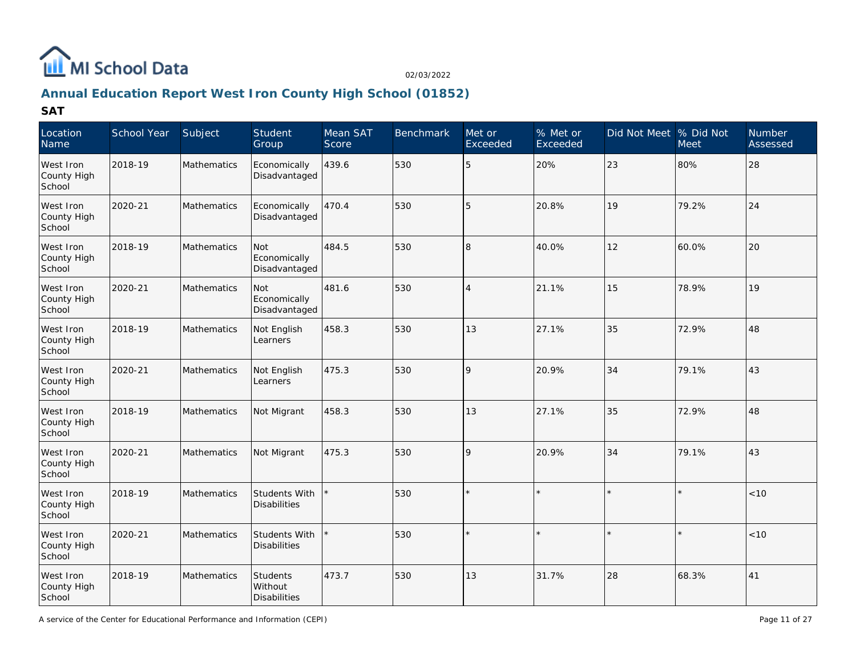

# **Annual Education Report West Iron County High School (01852)**

| Location<br>Name                   | School Year | Subject            | Student<br>Group                           | Mean SAT<br>Score | <b>Benchmark</b> | Met or<br>Exceeded | $%$ Met or<br>Exceeded | Did Not Meet % Did Not | <b>Meet</b> | Number<br>Assessed |
|------------------------------------|-------------|--------------------|--------------------------------------------|-------------------|------------------|--------------------|------------------------|------------------------|-------------|--------------------|
| West Iron<br>County High<br>School | 2018-19     | <b>Mathematics</b> | Economically<br>Disadvantaged              | 439.6             | 530              | 5                  | 20%                    | 23                     | 80%         | 28                 |
| West Iron<br>County High<br>School | 2020-21     | Mathematics        | Economically<br>Disadvantaged              | 470.4             | 530              | 5                  | 20.8%                  | 19                     | 79.2%       | 24                 |
| West Iron<br>County High<br>School | 2018-19     | Mathematics        | Not<br>Economically<br>Disadvantaged       | 484.5             | 530              | 8                  | 40.0%                  | 12                     | 60.0%       | 20                 |
| West Iron<br>County High<br>School | 2020-21     | <b>Mathematics</b> | Not<br>Economically<br>Disadvantaged       | 481.6             | 530              | $\overline{4}$     | 21.1%                  | 15                     | 78.9%       | 19                 |
| West Iron<br>County High<br>School | 2018-19     | <b>Mathematics</b> | Not English<br>Learners                    | 458.3             | 530              | 13                 | 27.1%                  | 35                     | 72.9%       | 48                 |
| West Iron<br>County High<br>School | 2020-21     | Mathematics        | Not English<br>Learners                    | 475.3             | 530              | 9                  | 20.9%                  | 34                     | 79.1%       | 43                 |
| West Iron<br>County High<br>School | 2018-19     | <b>Mathematics</b> | Not Migrant                                | 458.3             | 530              | 13                 | 27.1%                  | 35                     | 72.9%       | 48                 |
| West Iron<br>County High<br>School | 2020-21     | Mathematics        | Not Migrant                                | 475.3             | 530              | 9                  | 20.9%                  | 34                     | 79.1%       | 43                 |
| West Iron<br>County High<br>School | 2018-19     | Mathematics        | Students With<br>Disabilities              |                   | 530              | $\star$            |                        |                        | $\star$     | < 10               |
| West Iron<br>County High<br>School | 2020-21     | Mathematics        | Students With<br>Disabilities              |                   | 530              |                    |                        |                        | $\star$     | < 10               |
| West Iron<br>County High<br>School | 2018-19     | Mathematics        | <b>Students</b><br>Without<br>Disabilities | 473.7             | 530              | 13                 | 31.7%                  | 28                     | 68.3%       | 41                 |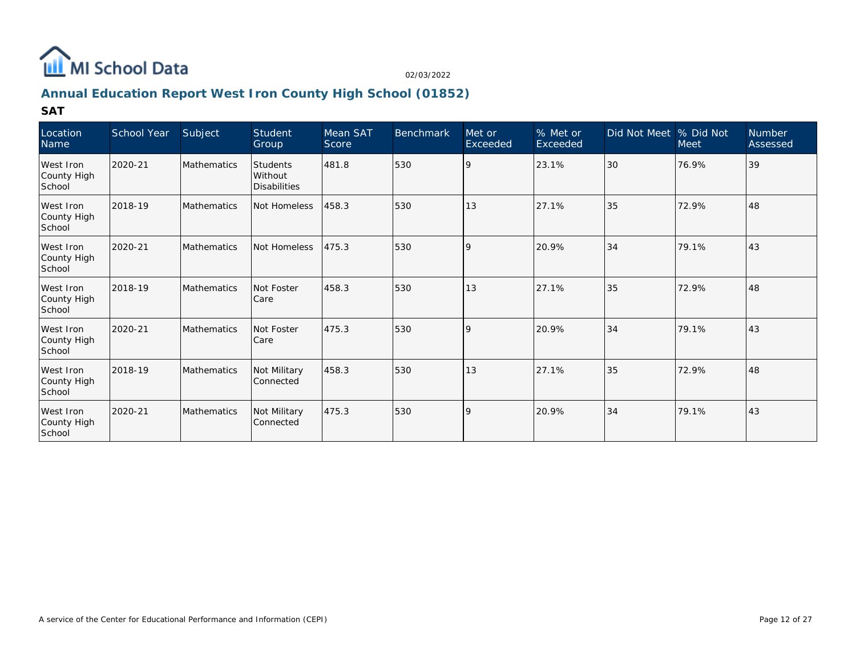

## **Annual Education Report West Iron County High School (01852)**

| Location<br>Name                   | School Year | Subject            | Student<br>Group                           | Mean SAT<br>Score | <b>Benchmark</b> | Met or<br>Exceeded | % Met or<br>Exceeded | Did Not Meet   % Did Not | <b>Meet</b> | Number<br>Assessed |
|------------------------------------|-------------|--------------------|--------------------------------------------|-------------------|------------------|--------------------|----------------------|--------------------------|-------------|--------------------|
| West Iron<br>County High<br>School | 2020-21     | <b>Mathematics</b> | Students<br>Without<br><b>Disabilities</b> | 481.8             | 530              | 9                  | 23.1%                | 30                       | 76.9%       | 39                 |
| West Iron<br>County High<br>School | 2018-19     | <b>Mathematics</b> | Not Homeless                               | 458.3             | 530              | 13                 | 27.1%                | 35                       | 72.9%       | 48                 |
| West Iron<br>County High<br>School | 2020-21     | <b>Mathematics</b> | Not Homeless                               | 475.3             | 530              | $\mathsf{Q}$       | 20.9%                | 34                       | 79.1%       | 43                 |
| West Iron<br>County High<br>School | 2018-19     | <b>Mathematics</b> | Not Foster<br><b>Care</b>                  | 458.3             | 530              | 13                 | 27.1%                | 35                       | 72.9%       | 48                 |
| West Iron<br>County High<br>School | 2020-21     | <b>Mathematics</b> | Not Foster<br>Care                         | 475.3             | 530              | $\mathsf{Q}$       | 20.9%                | 34                       | 79.1%       | 43                 |
| West Iron<br>County High<br>School | 2018-19     | <b>Mathematics</b> | Not Military<br>Connected                  | 458.3             | 530              | 13                 | 27.1%                | 35                       | 72.9%       | 48                 |
| West Iron<br>County High<br>School | 2020-21     | Mathematics        | Not Military<br>Connected                  | 475.3             | 530              | <b>9</b>           | 20.9%                | 34                       | 79.1%       | 43                 |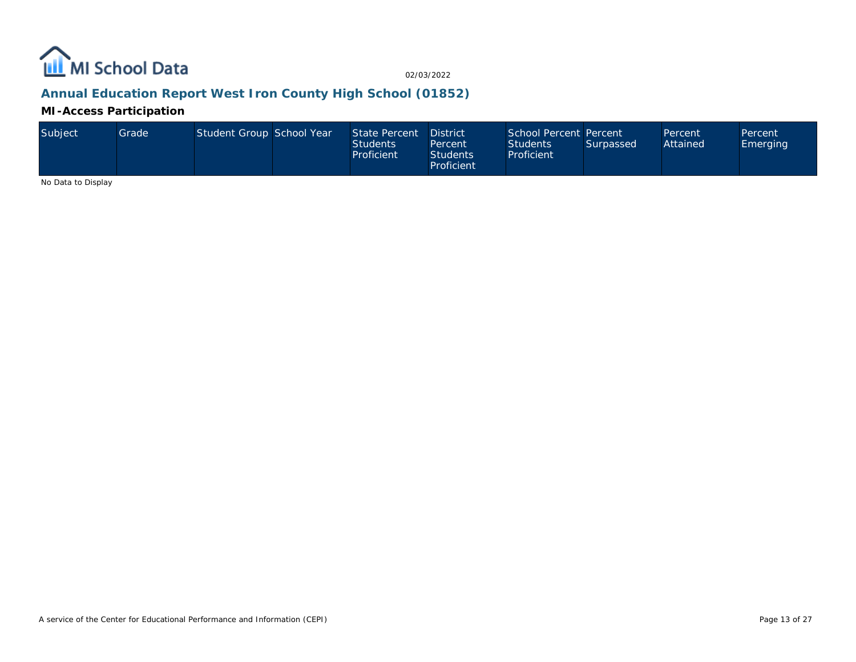

## **Annual Education Report West Iron County High School (01852)**

**MI-Access Participation**

| Subject | Grade | Student Group School Year |  | State Percent<br><b>Students</b><br>Proficient | <b>District</b><br>Percent<br>Students<br>Proficient | School Percent Percent<br><b>Students</b><br>Proficient | Surpassed | Percent<br>Attained | Percent<br>Emerging |
|---------|-------|---------------------------|--|------------------------------------------------|------------------------------------------------------|---------------------------------------------------------|-----------|---------------------|---------------------|
|---------|-------|---------------------------|--|------------------------------------------------|------------------------------------------------------|---------------------------------------------------------|-----------|---------------------|---------------------|

No Data to Display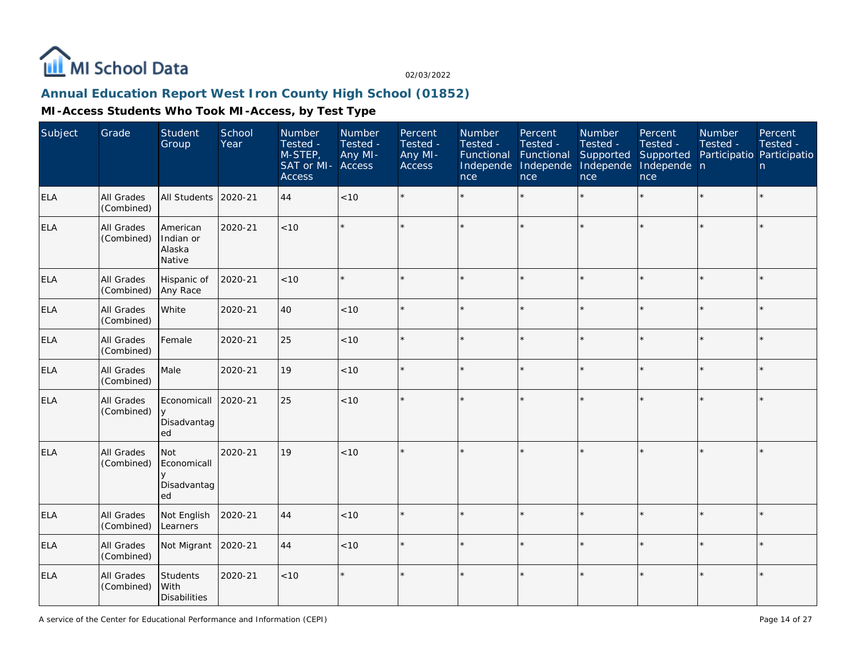

### **Annual Education Report West Iron County High School (01852)**

| Subject    | Grade                           | Student<br>Group                                  | School<br>Year | Number<br>Tested -<br>M-STEP,<br>SAT or MI- Access<br><b>Access</b> | Number<br>Tested -<br>Any MI- | Percent<br>Tested -<br>Any MI-<br>Access | Number<br>Tested -<br>Functional<br>Independe<br>nce | Percent<br>Tested -<br>Functional<br>Independe<br>nce | Number<br>Tested -<br>Supported<br>Independe<br>nce | Percent<br>Tested -<br>Supported<br>Independe n<br>nce | Number<br>Tested -<br>Participatio Participatio | Percent<br>Tested -<br>n |
|------------|---------------------------------|---------------------------------------------------|----------------|---------------------------------------------------------------------|-------------------------------|------------------------------------------|------------------------------------------------------|-------------------------------------------------------|-----------------------------------------------------|--------------------------------------------------------|-------------------------------------------------|--------------------------|
| <b>ELA</b> | <b>All Grades</b><br>(Combined) | All Students                                      | 2020-21        | 44                                                                  | $<10$                         | $\star$                                  |                                                      | $\star$                                               | $\star$                                             | $\star$                                                | $\star$                                         | $\star$                  |
| <b>ELA</b> | All Grades<br>(Combined)        | American<br>Indian or<br>Alaska<br>Native         | 2020-21        | < 10                                                                |                               | $\star$                                  |                                                      | $\star$                                               |                                                     | ×                                                      |                                                 | $\star$                  |
| <b>ELA</b> | <b>All Grades</b><br>(Combined) | Hispanic of<br>Any Race                           | 2020-21        | < 10                                                                |                               | $\star$                                  |                                                      | $\star$                                               |                                                     |                                                        |                                                 | $\star$                  |
| <b>ELA</b> | All Grades<br>(Combined)        | White                                             | 2020-21        | 40                                                                  | < 10                          | $\star$                                  |                                                      | $\star$                                               | $\star$                                             |                                                        |                                                 | $\star$                  |
| <b>ELA</b> | All Grades<br>(Combined)        | Female                                            | 2020-21        | 25                                                                  | < 10                          | $\star$                                  |                                                      | $\star$                                               |                                                     |                                                        |                                                 | $\star$                  |
| <b>ELA</b> | All Grades<br>(Combined)        | Male                                              | 2020-21        | 19                                                                  | < 10                          | $\star$                                  |                                                      | $\star$                                               |                                                     | ×                                                      |                                                 | $\star$                  |
| <b>ELA</b> | All Grades<br>(Combined)        | Economicall<br>y<br>Disadvantag<br>ed             | 2020-21        | 25                                                                  | < 10                          | $\star$                                  |                                                      | $\star$                                               |                                                     |                                                        |                                                 | $\star$                  |
| <b>ELA</b> | <b>All Grades</b><br>(Combined) | Not<br>Economicall<br>$\vee$<br>Disadvantag<br>ed | 2020-21        | 19                                                                  | < 10                          |                                          |                                                      |                                                       |                                                     |                                                        |                                                 | $\star$                  |
| <b>ELA</b> | All Grades<br>(Combined)        | Not English<br>Learners                           | 2020-21        | 44                                                                  | <10                           |                                          |                                                      | $\star$                                               | ÷                                                   |                                                        |                                                 | $\star$                  |
| <b>ELA</b> | All Grades<br>(Combined)        | Not Migrant                                       | 2020-21        | 44                                                                  | < 10                          | $\star$                                  |                                                      | $\star$                                               |                                                     |                                                        |                                                 | $\star$                  |
| <b>ELA</b> | All Grades<br>(Combined)        | Students<br>With<br><b>Disabilities</b>           | 2020-21        | < 10                                                                | $\star$                       | $\star$                                  |                                                      | $\star$                                               |                                                     |                                                        |                                                 | $\star$                  |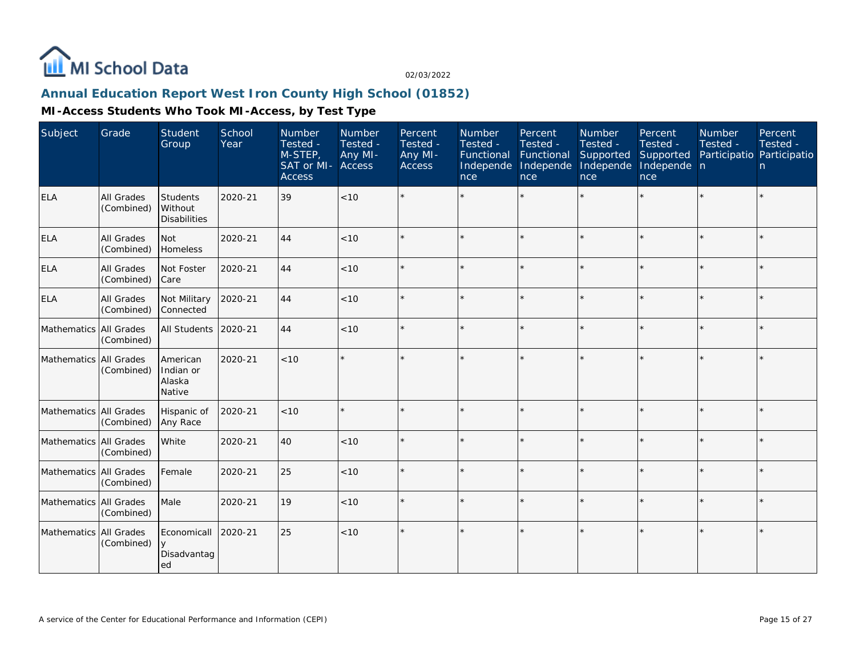

### **Annual Education Report West Iron County High School (01852)**

| Subject                | Grade                           | Student<br>Group                           | School<br>Year | Number<br>Tested -<br>M-STEP,<br>SAT or MI- Access<br><b>Access</b> | Number<br>Tested -<br>Any MI- | Percent<br>Tested -<br>Any MI-<br>Access | Number<br>Tested -<br>Functional<br>Independe<br>nce | Percent<br>Tested -<br>Functional<br>Independe<br><b>nce</b> | Number<br>Tested -<br>Supported<br>Independe<br>nce | Percent<br>Tested -<br>Supported<br>Independe n<br>nce | <b>Number</b><br>Tested -<br>Participatio Participatio | Percent<br>Tested -<br>n |
|------------------------|---------------------------------|--------------------------------------------|----------------|---------------------------------------------------------------------|-------------------------------|------------------------------------------|------------------------------------------------------|--------------------------------------------------------------|-----------------------------------------------------|--------------------------------------------------------|--------------------------------------------------------|--------------------------|
| <b>ELA</b>             | All Grades<br>(Combined)        | Students<br>Without<br><b>Disabilities</b> | 2020-21        | 39                                                                  | $<10$                         |                                          |                                                      |                                                              |                                                     | ×                                                      | $\star$                                                | $\star$                  |
| <b>ELA</b>             | All Grades<br>(Combined)        | Not<br>Homeless                            | 2020-21        | 44                                                                  | < 10                          |                                          |                                                      | $\star$                                                      |                                                     |                                                        |                                                        | $\star$                  |
| <b>ELA</b>             | All Grades<br>(Combined)        | Not Foster<br>Care                         | 2020-21        | 44                                                                  | < 10                          | $\star$                                  |                                                      | $\star$                                                      |                                                     | $\star$                                                | $\star$                                                | ×.                       |
| <b>ELA</b>             | <b>All Grades</b><br>(Combined) | Not Military<br>Connected                  | 2020-21        | 44                                                                  | < 10                          |                                          |                                                      | $\star$                                                      |                                                     | $\star$                                                | $\star$                                                | $\star$                  |
| Mathematics All Grades | (Combined)                      | All Students                               | 2020-21        | 44                                                                  | < 10                          | $\star$                                  |                                                      | $\star$                                                      |                                                     | $\star$                                                | $\star$                                                | $\star$                  |
| Mathematics All Grades | (Combined)                      | American<br>Indian or<br>Alaska<br>Native  | 2020-21        | < 10                                                                |                               |                                          |                                                      | $\star$                                                      |                                                     | $\star$                                                | $\star$                                                | $\star$                  |
| Mathematics All Grades | (Combined)                      | Hispanic of<br>Any Race                    | 2020-21        | < 10                                                                |                               |                                          |                                                      | $\star$                                                      | ÷.                                                  | $\star$                                                | $\star$                                                | ÷.                       |
| Mathematics All Grades | (Combined)                      | White                                      | 2020-21        | 40                                                                  | < 10                          |                                          |                                                      | $\star$                                                      | ÷.                                                  | $\star$                                                | $\star$                                                | $\star$                  |
| Mathematics All Grades | (Combined)                      | Female                                     | 2020-21        | 25                                                                  | < 10                          | $\star$                                  |                                                      | $\star$                                                      |                                                     | $\star$                                                | $\star$                                                | $\star$                  |
| Mathematics All Grades | (Combined)                      | Male                                       | 2020-21        | 19                                                                  | < 10                          |                                          |                                                      | $\star$                                                      |                                                     | $\star$                                                |                                                        | $\star$                  |
| Mathematics All Grades | (Combined)                      | Economicall<br>y<br>Disadvantag<br>ed      | 2020-21        | 25                                                                  | < 10                          | $\star$                                  |                                                      | $\star$                                                      |                                                     | $\star$                                                | $\star$                                                | $\star$                  |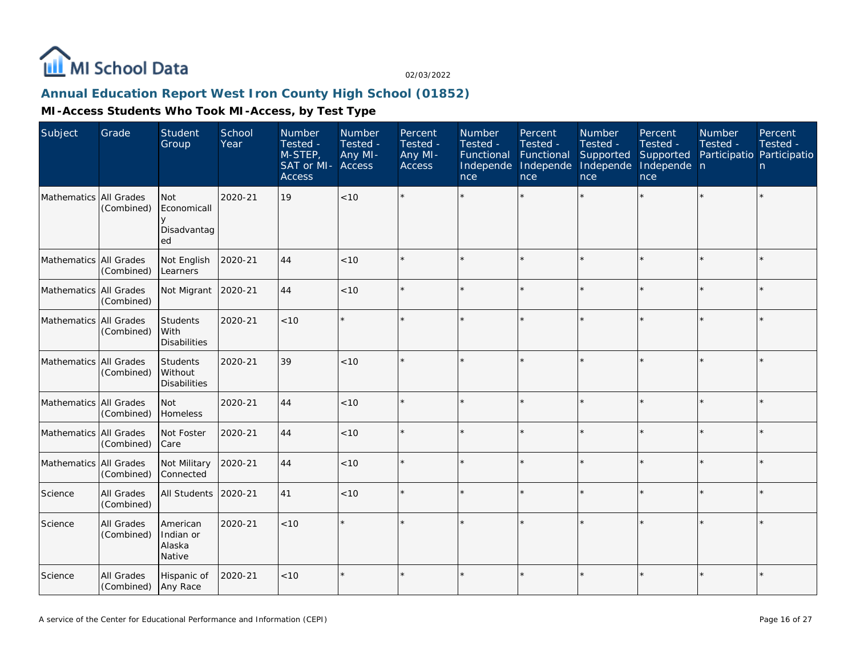

### **Annual Education Report West Iron County High School (01852)**

| Subject                  | Grade                    | Student<br>Group                               | School<br>Year | Number<br>Tested -<br>M-STEP,<br>SAT or MI-<br><b>Access</b> | Number<br>Tested -<br>Any MI-<br>Access | Percent<br>Tested -<br>Any MI-<br>Access | Number<br>Tested -<br>Functional<br>Independe<br>nce | Percent<br>Tested -<br>Functional<br>Independe<br>nce | Number<br>Tested -<br>Supported<br>Independe<br>nce | Percent<br>Tested -<br>Supported<br>Independe n<br>nce | Number<br>Tested -<br>Participatio Participatio | Percent<br>Tested -<br>n |
|--------------------------|--------------------------|------------------------------------------------|----------------|--------------------------------------------------------------|-----------------------------------------|------------------------------------------|------------------------------------------------------|-------------------------------------------------------|-----------------------------------------------------|--------------------------------------------------------|-------------------------------------------------|--------------------------|
| Mathematics All Grades   | (Combined)               | <b>Not</b><br>Economicall<br>Disadvantag<br>ed | 2020-21        | 19                                                           | < 10                                    |                                          |                                                      |                                                       |                                                     |                                                        |                                                 | $\star$                  |
| Mathematics All Grades   | (Combined)               | Not English<br>Learners                        | 2020-21        | 44                                                           | < 10                                    |                                          |                                                      | $\star$                                               |                                                     |                                                        |                                                 | $\star$                  |
| Mathematics All Grades   | (Combined)               | Not Migrant                                    | 2020-21        | 44                                                           | < 10                                    | $\Phi$                                   |                                                      | $\star$                                               |                                                     | $\star$                                                | $\star$                                         | $\star$                  |
| Mathematics All Grades   | (Combined)               | Students<br>With<br><b>Disabilities</b>        | 2020-21        | < 10                                                         |                                         |                                          |                                                      | $\star$                                               |                                                     |                                                        |                                                 | $\star$                  |
| Mathematics All Grades   | (Combined)               | Students<br>Without<br><b>Disabilities</b>     | 2020-21        | 39                                                           | < 10                                    |                                          |                                                      | $\star$                                               | ÷                                                   |                                                        | $\star$                                         | $\star$                  |
| Mathematics All Grades   | (Combined)               | Not<br>Homeless                                | 2020-21        | 44                                                           | < 10                                    | $\star$                                  |                                                      | $\star$                                               | $\star$                                             |                                                        | $\star$                                         | $\star$                  |
| Mathematics All Grades   | (Combined)               | Not Foster<br>Care                             | 2020-21        | 44                                                           | $<10$                                   |                                          |                                                      | $\star$                                               |                                                     |                                                        |                                                 | $\star$                  |
| Mathematics   All Grades | (Combined)               | Not Military<br>Connected                      | 2020-21        | 44                                                           | < 10                                    |                                          |                                                      | $\star$                                               |                                                     |                                                        |                                                 | $\star$                  |
| Science                  | All Grades<br>(Combined) | All Students                                   | 2020-21        | 41                                                           | < 10                                    |                                          |                                                      | $\star$                                               | ×                                                   | ×                                                      |                                                 | $\star$                  |
| Science                  | All Grades<br>(Combined) | American<br>Indian or<br>Alaska<br>Native      | 2020-21        | < 10                                                         |                                         |                                          |                                                      |                                                       |                                                     |                                                        |                                                 | $\star$                  |
| Science                  | All Grades<br>(Combined) | Hispanic of<br>Any Race                        | 2020-21        | < 10                                                         |                                         |                                          |                                                      | $\star$                                               |                                                     |                                                        | $\star$                                         | $\star$                  |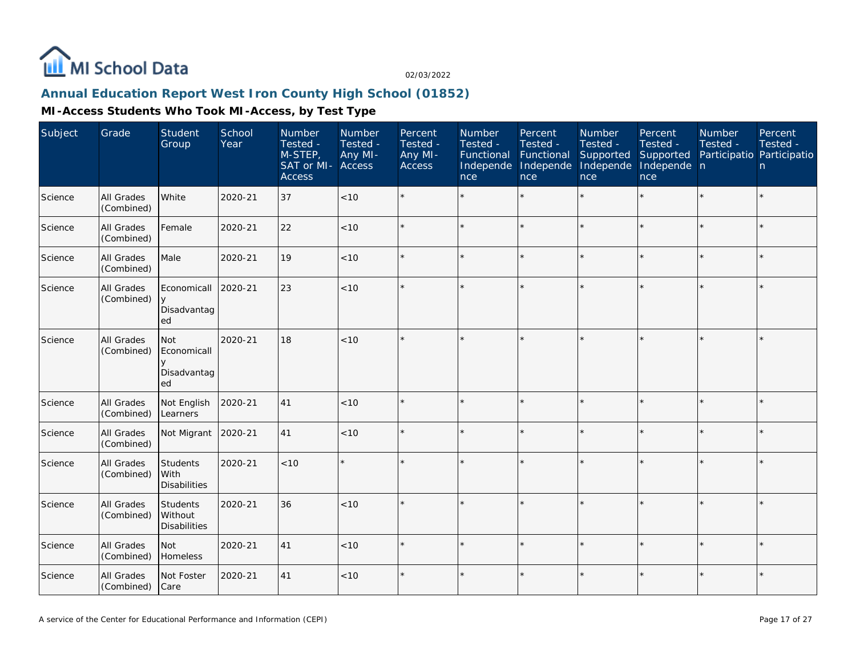

# **Annual Education Report West Iron County High School (01852)**

| Subject | Grade                    | <b>Student</b><br>Group                                  | School<br>Year | Number<br>Tested -<br>$M-STEP$<br>SAT or MI-<br><b>Access</b> | Number<br>Tested -<br>Any MI-<br><b>Access</b> | Percent<br>Tested -<br>Any MI-<br>Access | Number<br>Tested -<br>Functional<br>Independe<br>nce | Percent<br>Tested -<br>Functional<br>Independe<br><b>nce</b> | <b>Number</b><br>Tested -<br>Supported<br>Independe<br>nce | Percent<br>Tested -<br>Supported<br>Independe n<br>nce | Number<br>Tested -<br>Participatio Participatio | Percent<br>Tested -<br>n |
|---------|--------------------------|----------------------------------------------------------|----------------|---------------------------------------------------------------|------------------------------------------------|------------------------------------------|------------------------------------------------------|--------------------------------------------------------------|------------------------------------------------------------|--------------------------------------------------------|-------------------------------------------------|--------------------------|
| Science | All Grades<br>(Combined) | White                                                    | 2020-21        | 37                                                            | < 10                                           |                                          |                                                      |                                                              |                                                            |                                                        |                                                 | $\star$                  |
| Science | All Grades<br>(Combined) | Female                                                   | 2020-21        | 22                                                            | < 10                                           | $\star$                                  |                                                      | $\star$                                                      | $\star$                                                    |                                                        | $\star$                                         | $\star$                  |
| Science | All Grades<br>(Combined) | Male                                                     | 2020-21        | 19                                                            | < 10                                           |                                          |                                                      |                                                              |                                                            |                                                        |                                                 | $\star$                  |
| Science | All Grades<br>(Combined) | Economicall<br>y<br>Disadvantag<br>ed                    | 2020-21        | 23                                                            | $<10$                                          |                                          |                                                      |                                                              |                                                            |                                                        |                                                 |                          |
| Science | All Grades<br>(Combined) | <b>Not</b><br>Economicall<br>$\vee$<br>Disadvantag<br>ed | 2020-21        | 18                                                            | $<10$                                          |                                          |                                                      |                                                              |                                                            |                                                        |                                                 | $\star$                  |
| Science | All Grades<br>(Combined) | Not English<br>Learners                                  | 2020-21        | 41                                                            | < 10                                           |                                          |                                                      | $\star$                                                      |                                                            |                                                        | $\star$                                         | $\star$                  |
| Science | All Grades<br>(Combined) | Not Migrant                                              | 2020-21        | 41                                                            | < 10                                           |                                          |                                                      |                                                              |                                                            |                                                        |                                                 | $\star$                  |
| Science | All Grades<br>(Combined) | Students<br>l With<br><b>Disabilities</b>                | 2020-21        | < 10                                                          | $\star$                                        |                                          |                                                      |                                                              |                                                            |                                                        |                                                 | $\star$                  |
| Science | All Grades<br>(Combined) | Students<br>Without<br><b>Disabilities</b>               | 2020-21        | 36                                                            | < 10                                           | $\star$                                  |                                                      | $\star$                                                      |                                                            |                                                        | ×                                               | ÷.                       |
| Science | All Grades<br>(Combined) | <b>Not</b><br>Homeless                                   | 2020-21        | 41                                                            | < 10                                           |                                          |                                                      | ÷                                                            |                                                            |                                                        |                                                 | $\star$                  |
| Science | All Grades<br>(Combined) | Not Foster<br>Care                                       | 2020-21        | 41                                                            | $<10$                                          |                                          |                                                      |                                                              |                                                            |                                                        | $\star$                                         | $\star$                  |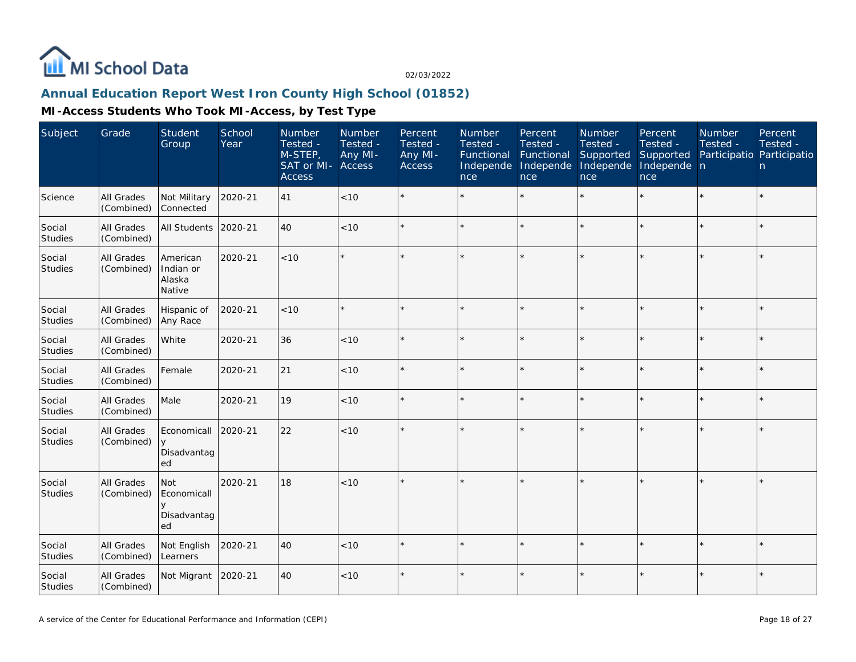

### **Annual Education Report West Iron County High School (01852)**

| Subject                  | Grade                           | Student<br>Group                                    | School<br>Year | Number<br>Tested -<br>$M-STEP$<br>SAT or MI-<br><b>Access</b> | <b>Number</b><br>Tested -<br>Any MI-<br>Access | Percent<br>Tested -<br>Any MI-<br>Access | Number<br>Tested -<br>Functional<br>Independe<br>nce | Percent<br>Tested -<br>Functional<br>Independe<br>nce | Number<br>Tested -<br>Supported<br>Independe<br>nce | Percent<br>Tested -<br>Supported<br>Independe n<br>nce | Number<br>Tested -<br>Participatio Participatio | Percent<br>Tested -<br>n |
|--------------------------|---------------------------------|-----------------------------------------------------|----------------|---------------------------------------------------------------|------------------------------------------------|------------------------------------------|------------------------------------------------------|-------------------------------------------------------|-----------------------------------------------------|--------------------------------------------------------|-------------------------------------------------|--------------------------|
| Science                  | All Grades<br>(Combined)        | Not Military<br>Connected                           | 2020-21        | 41                                                            | < 10                                           |                                          |                                                      |                                                       |                                                     |                                                        |                                                 | $\star$                  |
| Social<br><b>Studies</b> | All Grades<br>(Combined)        | <b>All Students</b>                                 | 2020-21        | 40                                                            | < 10                                           |                                          |                                                      | $\star$                                               |                                                     | $\star$                                                | $\star$                                         | $\star$                  |
| Social<br>Studies        | All Grades<br>(Combined)        | American<br>Indian or<br>Alaska<br>Native           | 2020-21        | < 10                                                          | $\star$                                        |                                          |                                                      |                                                       |                                                     | $\star$                                                |                                                 | $\star$                  |
| Social<br>Studies        | All Grades<br>(Combined)        | Hispanic of<br>Any Race                             | 2020-21        | $<10$                                                         | $\star$                                        |                                          |                                                      | $\star$                                               |                                                     | $\star$                                                |                                                 | $\star$                  |
| Social<br><b>Studies</b> | All Grades<br>(Combined)        | White                                               | 2020-21        | 36                                                            | < 10                                           |                                          |                                                      | $\star$                                               |                                                     | $\star$                                                |                                                 | $\star$                  |
| Social<br>Studies        | <b>All Grades</b><br>(Combined) | Female                                              | 2020-21        | 21                                                            | $<10$                                          |                                          |                                                      | $\star$                                               |                                                     | ×.                                                     |                                                 | $\star$                  |
| Social<br>Studies        | All Grades<br>(Combined)        | Male                                                | 2020-21        | 19                                                            | < 10                                           |                                          |                                                      | $\star$                                               | ÷                                                   | $\star$                                                | $\star$                                         | $\star$                  |
| Social<br>Studies        | All Grades<br>(Combined)        | Economicall<br>y<br>Disadvantag<br>ed               | 2020-21        | 22                                                            | < 10                                           |                                          |                                                      |                                                       |                                                     | ×.                                                     |                                                 | $\star$                  |
| Social<br><b>Studies</b> | All Grades<br>(Combined)        | <b>Not</b><br>Economicall<br>V<br>Disadvantag<br>ed | 2020-21        | 18                                                            | < 10                                           |                                          |                                                      |                                                       |                                                     |                                                        |                                                 | k.                       |
| Social<br><b>Studies</b> | All Grades<br>(Combined)        | Not English<br>Learners                             | 2020-21        | 40                                                            | < 10                                           |                                          |                                                      | $\ddot{\phantom{0}}$                                  |                                                     | ÷                                                      |                                                 | $\star$                  |
| Social<br>Studies        | All Grades<br>(Combined)        | Not Migrant                                         | 2020-21        | 40                                                            | < 10                                           |                                          |                                                      |                                                       |                                                     | ×.                                                     |                                                 | $\star$                  |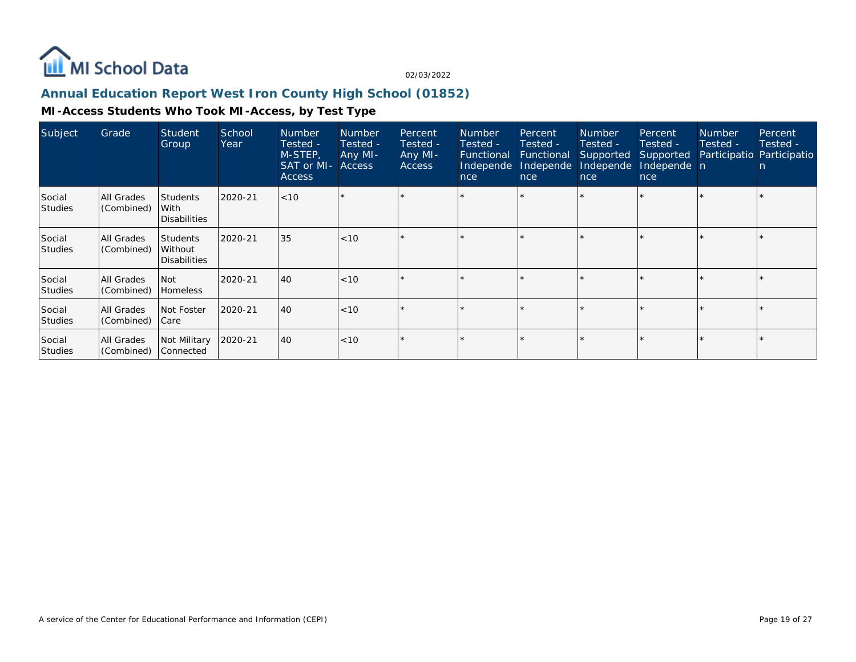

### **Annual Education Report West Iron County High School (01852)**

| Subject                  | Grade                           | Student<br>Group                                  | School<br>Year | <b>Number</b><br>Tested -<br>M-STEP,<br>SAT or MI-<br><b>Access</b> | <b>Number</b><br>Tested -<br>Any MI-<br>Access | Percent<br>Tested -<br>Any MI-<br><b>Access</b> | <b>Number</b><br>Tested -<br><b>Functional</b><br>Independe<br>nce | Percent<br>Tested -<br>Functional<br>Independe<br>nce | <b>Number</b><br>Tested -<br>Supported<br>Independe<br>nce | Percent<br>Tested -<br>Supported<br>Independe n<br>nce | <b>Number</b><br>Tested - | Percent<br>Tested -<br>Participatio Participatio<br>n. |
|--------------------------|---------------------------------|---------------------------------------------------|----------------|---------------------------------------------------------------------|------------------------------------------------|-------------------------------------------------|--------------------------------------------------------------------|-------------------------------------------------------|------------------------------------------------------------|--------------------------------------------------------|---------------------------|--------------------------------------------------------|
| Social<br><b>Studies</b> | All Grades<br>(Combined)        | <b>Students</b><br>With<br><b>Disabilities</b>    | 2020-21        | < 10                                                                |                                                |                                                 |                                                                    |                                                       |                                                            |                                                        |                           |                                                        |
| Social<br><b>Studies</b> | <b>All Grades</b><br>(Combined) | <b>Students</b><br>Without<br><b>Disabilities</b> | 2020-21        | 35                                                                  | $ $ < 10                                       |                                                 |                                                                    |                                                       |                                                            |                                                        |                           |                                                        |
| Social<br><b>Studies</b> | All Grades<br>(Combined)        | <b>Not</b><br><b>Homeless</b>                     | 2020-21        | 40                                                                  | $ $ < 10                                       |                                                 |                                                                    | $\star$                                               |                                                            |                                                        |                           |                                                        |
| Social<br><b>Studies</b> | All Grades<br>(Combined)        | Not Foster<br>  Care                              | 2020-21        | 40                                                                  | $ $ < 10                                       | $\star$                                         |                                                                    | $\star$                                               |                                                            |                                                        |                           |                                                        |
| Social<br><b>Studies</b> | All Grades<br>(Combined)        | Not Military<br>Connected                         | 2020-21        | 40                                                                  | $ $ < 10                                       |                                                 |                                                                    |                                                       |                                                            |                                                        |                           |                                                        |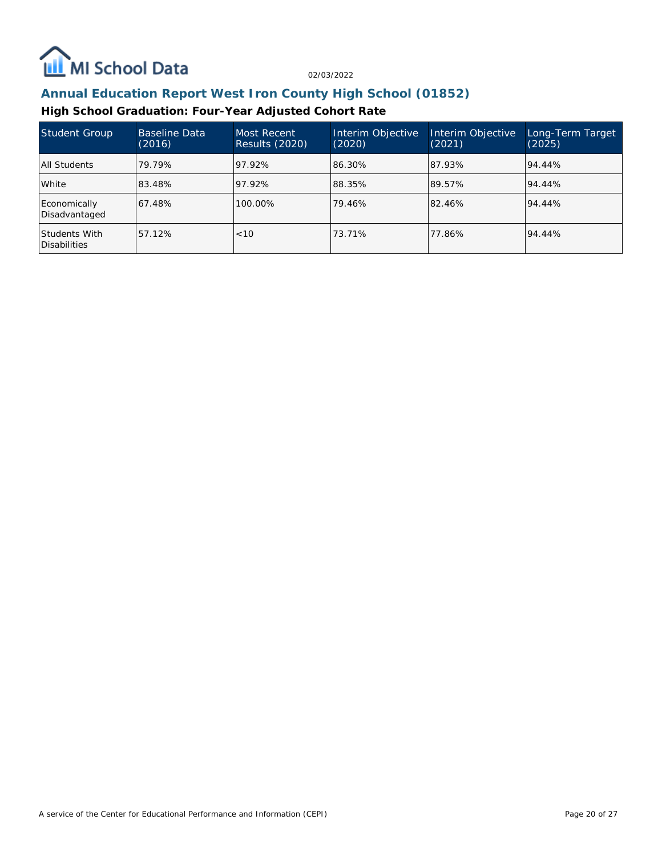

## **Annual Education Report West Iron County High School (01852)**

### **High School Graduation: Four-Year Adjusted Cohort Rate**

| Student Group                        | Baseline Data<br>(2016) | Most Recent<br>Results (2020) | Interim Objective<br>(2020) | Interim Objective<br>(2021) | Long-Term Target<br>(2025) |
|--------------------------------------|-------------------------|-------------------------------|-----------------------------|-----------------------------|----------------------------|
| All Students                         | 79.79%                  | 97.92%                        | 86.30%                      | 87.93%                      | 94.44%                     |
| White                                | 83.48%                  | 97.92%                        | 88.35%                      | 89.57%                      | 94.44%                     |
| Economically<br>Disadvantaged        | 67.48%                  | 100.00%                       | 79.46%                      | 82.46%                      | 94.44%                     |
| Students With<br><b>Disabilities</b> | 57.12%                  | < 10                          | 73.71%                      | 77.86%                      | 94.44%                     |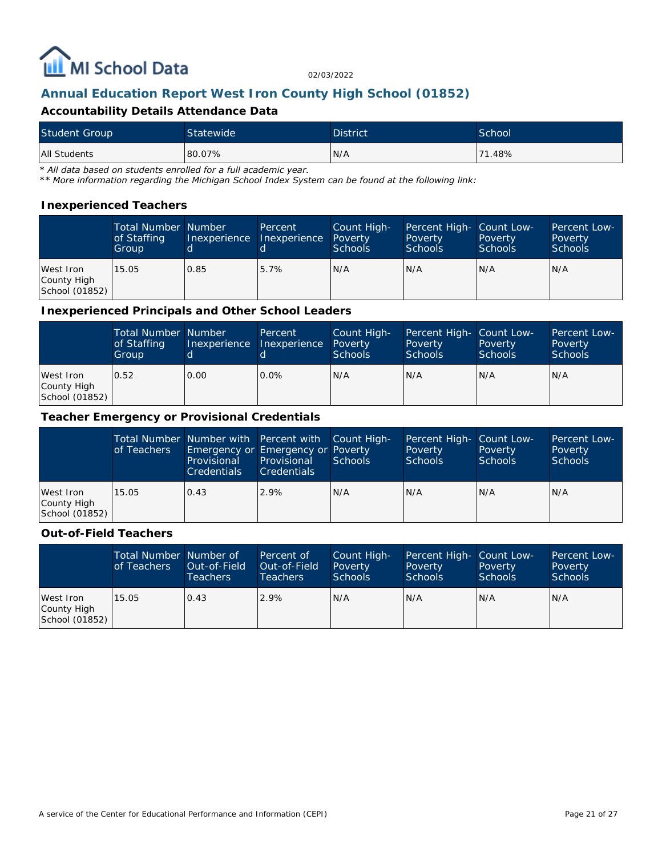

## **Annual Education Report West Iron County High School (01852)**

#### **Accountability Details Attendance Data**

| <b>Student Group</b> | Statewide | <b>District</b> | School |
|----------------------|-----------|-----------------|--------|
| <b>All Students</b>  | 80.07%    | N/A             | 71.48% |

*\* All data based on students enrolled for a full academic year.*

*\*\* More information regarding the Michigan School Index System can be found at the following link:*

#### **Inexperienced Teachers**

|                                            | <b>Total Number Number</b><br>of Staffing<br>Group | Inexperience | Percent<br><b>Inexperience</b> | Count High-<br>Poverty<br><b>Schools</b> | Percent High- Count Low-<br>Poverty<br><b>Schools</b> | Poverty<br><b>Schools</b> | <b>Percent Low-</b><br>Poverty<br><b>Schools</b> |
|--------------------------------------------|----------------------------------------------------|--------------|--------------------------------|------------------------------------------|-------------------------------------------------------|---------------------------|--------------------------------------------------|
| West Iron<br>County High<br>School (01852) | 15.05                                              | 0.85         | 5.7%                           | N/A                                      | N/A                                                   | N/A                       | N/A                                              |

#### **Inexperienced Principals and Other School Leaders**

|                                            | <b>Total Number Number</b><br>of Staffing<br>Group | Inexperience | <b>Percent</b><br>Inexperience | Count High-<br>Poverty<br><b>Schools</b> | Percent High- Count Low-<br>Poverty<br><b>Schools</b> | Poverty<br><b>Schools</b> | Percent Low-<br>Poverty<br><b>Schools</b> |
|--------------------------------------------|----------------------------------------------------|--------------|--------------------------------|------------------------------------------|-------------------------------------------------------|---------------------------|-------------------------------------------|
| West Iron<br>County High<br>School (01852) | 0.52                                               | 0.00         | $0.0\%$                        | IN/A                                     | N/A                                                   | N/A                       | IN/A                                      |

#### **Teacher Emergency or Provisional Credentials**

|                                            | of Teachers | Total Number Number with Percent with Count High-<br>Emergency or Emergency or Poverty<br>Provisional<br><b>Credentials</b> | Provisional<br><b>Credentials</b> | Schools | Percent High- Count Low-<br>Poverty<br><b>Schools</b> | Poverty<br>Schools | Percent Low-<br>Poverty<br>Schools |
|--------------------------------------------|-------------|-----------------------------------------------------------------------------------------------------------------------------|-----------------------------------|---------|-------------------------------------------------------|--------------------|------------------------------------|
| West Iron<br>County High<br>School (01852) | 15.05       | 0.43                                                                                                                        | 2.9%                              | IN/A    | N/A                                                   | N/A                | IN/A                               |

#### **Out-of-Field Teachers**

|                                            | Total Number Number of<br>of Teachers | Out-of-Field<br><b>Teachers</b> | Percent of<br>Out-of-Field<br>Teachers | Count High-<br>Poverty<br>Schools | Percent High- Count Low-<br>Poverty<br><b>Schools</b> | Poverty<br><b>Schools</b> | Percent Low-<br>Poverty<br><b>Schools</b> |
|--------------------------------------------|---------------------------------------|---------------------------------|----------------------------------------|-----------------------------------|-------------------------------------------------------|---------------------------|-------------------------------------------|
| West Iron<br>County High<br>School (01852) | 15.05                                 | 0.43                            | 2.9%                                   | N/A                               | N/A                                                   | N/A                       | IN/A                                      |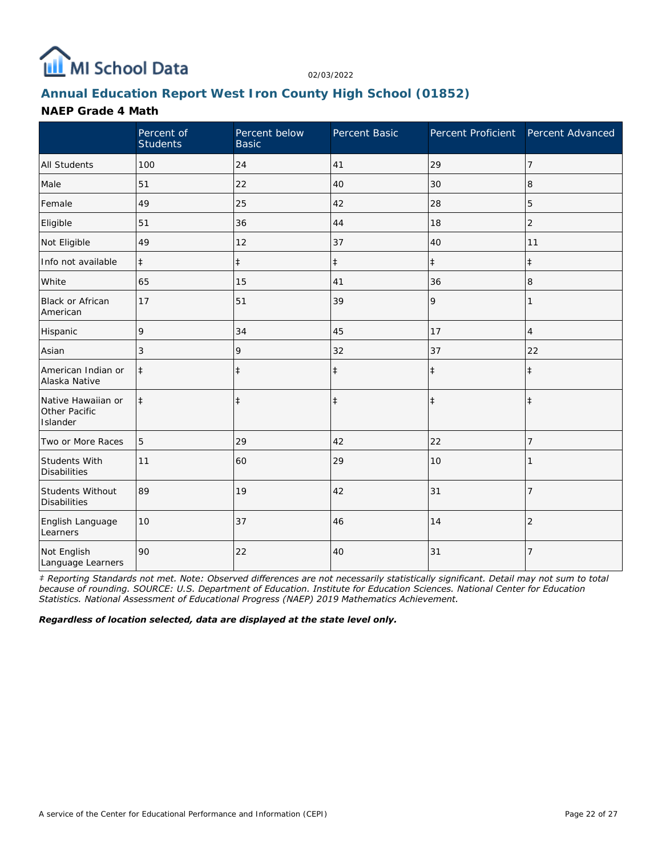

## **Annual Education Report West Iron County High School (01852)**

#### **NAEP Grade 4 Math**

|                                                 | Percent of<br><b>Students</b> | Percent below<br><b>Basic</b> | Percent Basic | Percent Proficient Percent Advanced |                |
|-------------------------------------------------|-------------------------------|-------------------------------|---------------|-------------------------------------|----------------|
| <b>All Students</b>                             | 100                           | 24                            | 41            | 29                                  | 7              |
| Male                                            | 51                            | 22                            | 40            | 30                                  | 8              |
| Female                                          | 49                            | 25                            | 42            | 28                                  | 5              |
| Eligible                                        | 51                            | 36                            | 44            | 18                                  | $\overline{2}$ |
| Not Eligible                                    | 49                            | 12                            | 37            | 40                                  | 11             |
| Info not available                              | $\ddagger$                    | $\ddagger$                    | $\ddagger$    | $\ddagger$                          | $\ddagger$     |
| White                                           | 65                            | 15                            | 41            | 36                                  | 8              |
| <b>Black or African</b><br>American             | 17                            | 51                            | 39            | 9                                   | 1              |
| Hispanic                                        | 9                             | 34                            | 45            | 17                                  | 4              |
| Asian                                           | 3                             | 9                             | 32            | 37                                  | 22             |
| American Indian or<br>Alaska Native             | $\ddagger$                    | $\ddagger$                    | $\ddagger$    | $\ddagger$                          | $\ddagger$     |
| Native Hawaiian or<br>Other Pacific<br>Islander | $\ddagger$                    | $\ddagger$                    | $\ddagger$    | $\ddagger$                          | $\ddagger$     |
| Two or More Races                               | 5                             | 29                            | 42            | 22                                  | 7              |
| Students With<br><b>Disabilities</b>            | 11                            | 60                            | 29            | 10                                  |                |
| Students Without<br><b>Disabilities</b>         | 89                            | 19                            | 42            | 31                                  | $\overline{7}$ |
| English Language<br>Learners                    | 10                            | 37                            | 46            | 14                                  | $\overline{2}$ |
| Not English<br>Language Learners                | 90                            | 22                            | 40            | 31                                  | $\overline{7}$ |

*‡ Reporting Standards not met. Note: Observed differences are not necessarily statistically significant. Detail may not sum to total because of rounding. SOURCE: U.S. Department of Education. Institute for Education Sciences. National Center for Education Statistics. National Assessment of Educational Progress (NAEP) 2019 Mathematics Achievement.*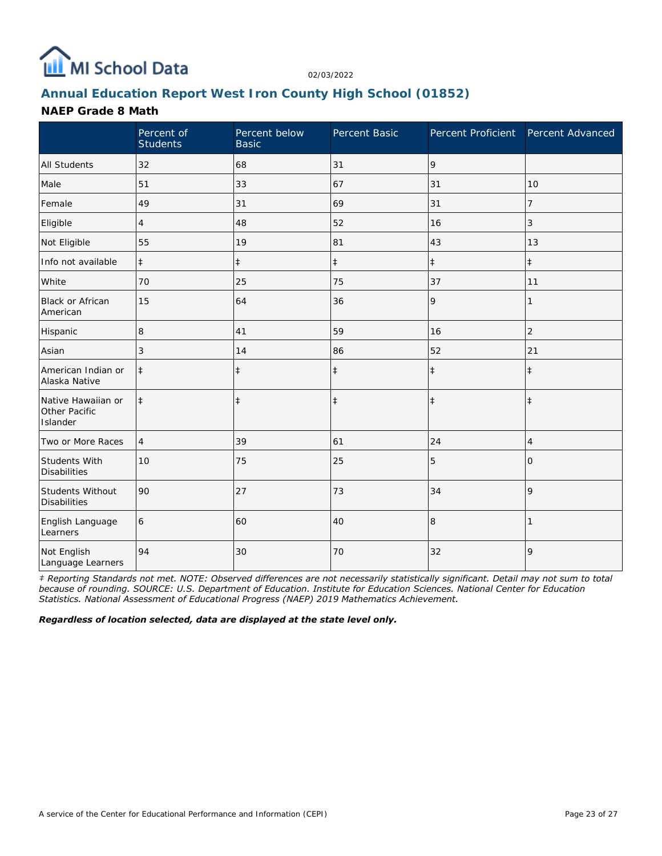

## **Annual Education Report West Iron County High School (01852)**

#### **NAEP Grade 8 Math**

|                                                 | Percent of<br><b>Students</b> | Percent below<br><b>Basic</b> | Percent Basic |            | Percent Proficient Percent Advanced |
|-------------------------------------------------|-------------------------------|-------------------------------|---------------|------------|-------------------------------------|
| <b>All Students</b>                             | 32                            | 68                            | 31            | 9          |                                     |
| Male                                            | 51                            | 33                            | 67            | 31         | 10                                  |
| Female                                          | 49                            | 31                            | 69            | 31         | 7                                   |
| Eligible                                        | 4                             | 48                            | 52            | 16         | 3                                   |
| Not Eligible                                    | 55                            | 19                            | 81            | 43         | 13                                  |
| Info not available                              | $\ddagger$                    | $\ddagger$                    | $\ddagger$    | $\ddagger$ | $\ddagger$                          |
| White                                           | 70                            | 25                            | 75            | 37         | 11                                  |
| Black or African<br>American                    | 15                            | 64                            | 36            | 9          |                                     |
| Hispanic                                        | 8                             | 41                            | 59            | 16         | $\overline{2}$                      |
| Asian                                           | 3                             | 14                            | 86            | 52         | 21                                  |
| American Indian or<br>Alaska Native             | $\ddagger$                    | $\ddagger$                    | $\ddagger$    | $\ddagger$ | $\ddagger$                          |
| Native Hawaiian or<br>Other Pacific<br>Islander | $\ddagger$                    | $\ddagger$                    | $\ddagger$    | $\ddagger$ | $\ddagger$                          |
| Two or More Races                               | $\overline{4}$                | 39                            | 61            | 24         | 4                                   |
| Students With<br><b>Disabilities</b>            | 10                            | 75                            | 25            | 5          | 0                                   |
| Students Without<br><b>Disabilities</b>         | 90                            | 27                            | 73            | 34         | 9                                   |
| English Language<br>Learners                    | 6                             | 60                            | 40            | 8          |                                     |
| Not English<br>Language Learners                | 94                            | 30                            | 70            | 32         | 9                                   |

*‡ Reporting Standards not met. NOTE: Observed differences are not necessarily statistically significant. Detail may not sum to total because of rounding. SOURCE: U.S. Department of Education. Institute for Education Sciences. National Center for Education Statistics. National Assessment of Educational Progress (NAEP) 2019 Mathematics Achievement.*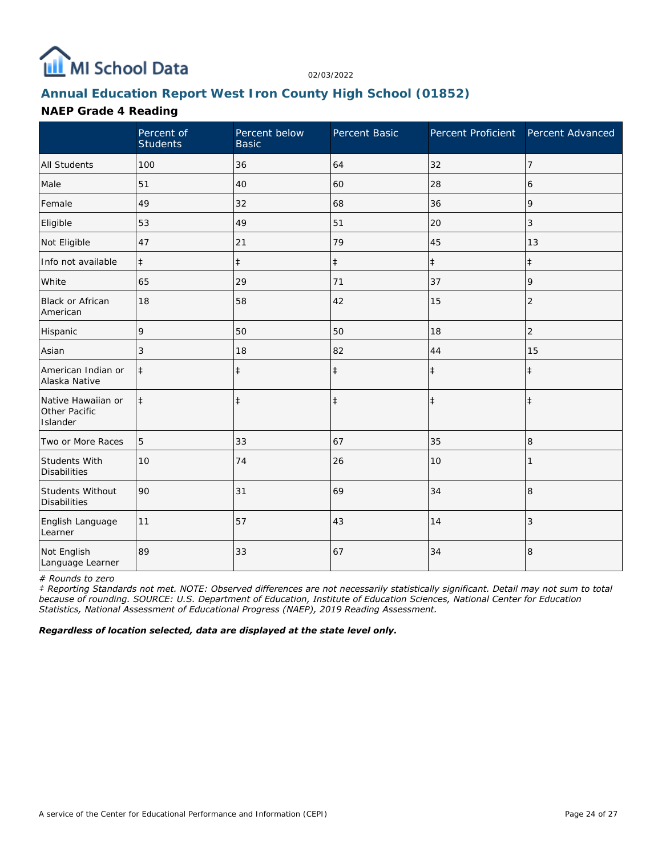

## **Annual Education Report West Iron County High School (01852)**

### **NAEP Grade 4 Reading**

|                                                 | Percent of<br><b>Students</b> | Percent below<br><b>Basic</b> | Percent Basic | Percent Proficient | Percent Advanced |
|-------------------------------------------------|-------------------------------|-------------------------------|---------------|--------------------|------------------|
| <b>All Students</b>                             | 100                           | 36                            | 64            | 32                 | $\overline{7}$   |
| Male                                            | 51                            | 40                            | 60            | 28                 | 6                |
| Female                                          | 49                            | 32                            | 68            | 36                 | 9                |
| Eligible                                        | 53                            | 49                            | 51            | 20                 | 3                |
| Not Eligible                                    | 47                            | 21                            | 79            | 45                 | 13               |
| Info not available                              | $\ddagger$                    | $\ddagger$                    | $\ddagger$    | $\ddagger$         | $\pm$            |
| White                                           | 65                            | 29                            | 71            | 37                 | 9                |
| Black or African<br>American                    | 18                            | 58                            | 42            | 15                 | $\overline{2}$   |
| Hispanic                                        | 9                             | 50                            | 50            | 18                 | $\overline{c}$   |
| Asian                                           | 3                             | 18                            | 82            | 44                 | 15               |
| American Indian or<br>Alaska Native             | $\ddagger$                    | $\ddagger$                    | $\ddagger$    | $\ddagger$         | $\ddagger$       |
| Native Hawaiian or<br>Other Pacific<br>Islander | $\ddagger$                    | $\ddagger$                    | $\ddagger$    | $\ddagger$         | $\ddagger$       |
| Two or More Races                               | 5                             | 33                            | 67            | 35                 | 8                |
| Students With<br><b>Disabilities</b>            | 10                            | 74                            | 26            | 10                 |                  |
| Students Without<br><b>Disabilities</b>         | 90                            | 31                            | 69            | 34                 | $\,8\,$          |
| English Language<br>Learner                     | 11                            | 57                            | 43            | 14                 | 3                |
| Not English<br>Language Learner                 | 89                            | 33                            | 67            | 34                 | 8                |

*# Rounds to zero*

*‡ Reporting Standards not met. NOTE: Observed differences are not necessarily statistically significant. Detail may not sum to total because of rounding. SOURCE: U.S. Department of Education, Institute of Education Sciences, National Center for Education Statistics, National Assessment of Educational Progress (NAEP), 2019 Reading Assessment.*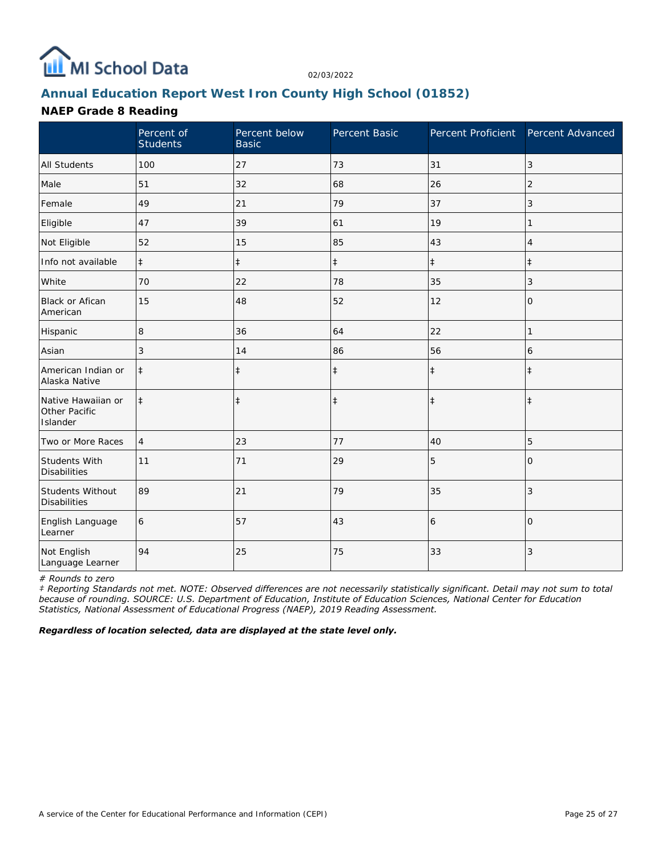

## **Annual Education Report West Iron County High School (01852)**

### **NAEP Grade 8 Reading**

|                                                 | Percent of<br><b>Students</b> | Percent below<br><b>Basic</b> | Percent Basic | Percent Proficient | Percent Advanced |
|-------------------------------------------------|-------------------------------|-------------------------------|---------------|--------------------|------------------|
| <b>All Students</b>                             | 100                           | 27                            | 73            | 31                 | 3                |
| Male                                            | 51                            | 32                            | 68            | 26                 | $\overline{2}$   |
| Female                                          | 49                            | 21                            | 79            | 37                 | 3                |
| Eligible                                        | 47                            | 39                            | 61            | 19                 |                  |
| Not Eligible                                    | 52                            | 15                            | 85            | 43                 | $\overline{4}$   |
| Info not available                              | $\ddagger$                    | $\ddagger$                    | $\ddagger$    | $\ddagger$         | $\pm$            |
| White                                           | 70                            | 22                            | 78            | 35                 | 3                |
| Black or Afican<br>American                     | 15                            | 48                            | 52            | 12                 | 0                |
| Hispanic                                        | 8                             | 36                            | 64            | 22                 | 1                |
| Asian                                           | 3                             | 14                            | 86            | 56                 | 6                |
| American Indian or<br>Alaska Native             | $\ddagger$                    | $\ddagger$                    | $\ddagger$    | $\ddagger$         | $\pm$            |
| Native Hawaiian or<br>Other Pacific<br>Islander | $\ddagger$                    | $\ddagger$                    | $\ddagger$    | $\ddagger$         | $\pm$            |
| Two or More Races                               | $\overline{4}$                | 23                            | 77            | 40                 | 5                |
| Students With<br><b>Disabilities</b>            | 11                            | 71                            | 29            | 5                  | $\Omega$         |
| Students Without<br><b>Disabilities</b>         | 89                            | 21                            | 79            | 35                 | 3                |
| English Language<br>Learner                     | 6                             | 57                            | 43            | 6                  | $\Omega$         |
| Not English<br>Language Learner                 | 94                            | 25                            | 75            | 33                 | 3                |

*# Rounds to zero*

*‡ Reporting Standards not met. NOTE: Observed differences are not necessarily statistically significant. Detail may not sum to total because of rounding. SOURCE: U.S. Department of Education, Institute of Education Sciences, National Center for Education Statistics, National Assessment of Educational Progress (NAEP), 2019 Reading Assessment.*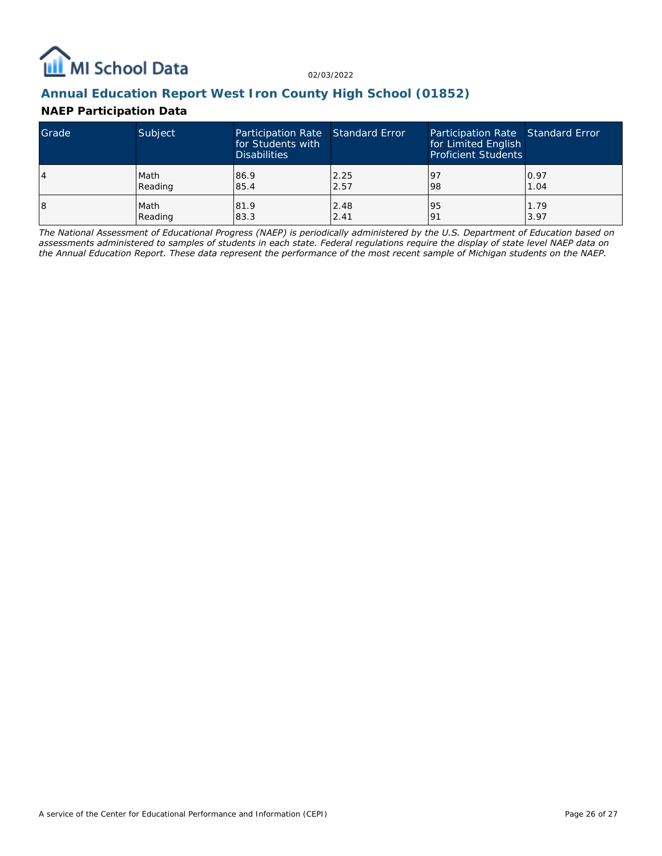

## **Annual Education Report West Iron County High School (01852)**

### **NAEP Participation Data**

| Grade | Subject | Participation Rate Standard Error<br>for Students with<br><b>Disabilities</b> |      | Participation Rate Standard Error<br>for Limited English<br><b>Proficient Students</b> |      |
|-------|---------|-------------------------------------------------------------------------------|------|----------------------------------------------------------------------------------------|------|
| 4     | Math    | 86.9                                                                          | 2.25 | 197                                                                                    | 0.97 |
|       | Reading | 85.4                                                                          | 2.57 | 98                                                                                     | 1.04 |
| 18    | Math    | 81.9                                                                          | 2.48 | 95                                                                                     | 1.79 |
|       | Reading | 83.3                                                                          | 2.41 | <u>o</u>                                                                               | 3.97 |

*The National Assessment of Educational Progress (NAEP) is periodically administered by the U.S. Department of Education based on assessments administered to samples of students in each state. Federal regulations require the display of state level NAEP data on the Annual Education Report. These data represent the performance of the most recent sample of Michigan students on the NAEP.*